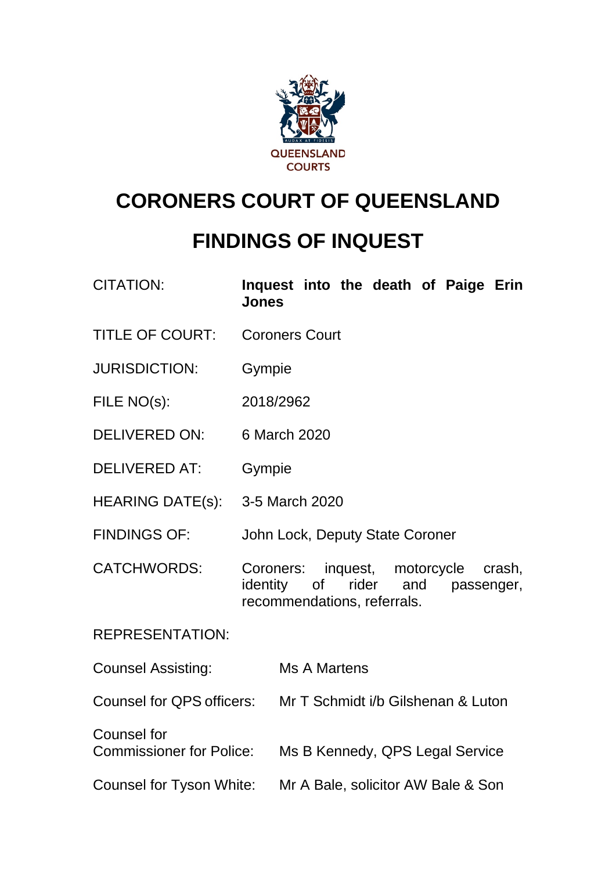

# **CORONERS COURT OF QUEENSLAND**

## **FINDINGS OF INQUEST**

| <b>CITATION:</b>                                      | Inquest into the death of Paige Erin<br>Jones                                                                             |  |  |  |
|-------------------------------------------------------|---------------------------------------------------------------------------------------------------------------------------|--|--|--|
| <b>TITLE OF COURT:</b>                                | <b>Coroners Court</b>                                                                                                     |  |  |  |
| <b>JURISDICTION:</b>                                  | Gympie                                                                                                                    |  |  |  |
| FILE NO(s):                                           | 2018/2962                                                                                                                 |  |  |  |
| <b>DELIVERED ON:</b>                                  | 6 March 2020                                                                                                              |  |  |  |
| <b>DELIVERED AT:</b>                                  | Gympie                                                                                                                    |  |  |  |
| HEARING DATE(s):                                      | 3-5 March 2020                                                                                                            |  |  |  |
| <b>FINDINGS OF:</b>                                   | John Lock, Deputy State Coroner                                                                                           |  |  |  |
| <b>CATCHWORDS:</b>                                    | inquest, motorcycle<br>Coroners:<br>crash,<br>rider<br>identity<br>of<br>and<br>passenger,<br>recommendations, referrals. |  |  |  |
| <b>REPRESENTATION:</b>                                |                                                                                                                           |  |  |  |
| <b>Counsel Assisting:</b>                             | <b>Ms A Martens</b>                                                                                                       |  |  |  |
| Counsel for QPS officers:                             | Mr T Schmidt i/b Gilshenan & Luton                                                                                        |  |  |  |
| <b>Counsel for</b><br><b>Commissioner for Police:</b> | Ms B Kennedy, QPS Legal Service                                                                                           |  |  |  |
| Counsel for Tyson White:                              | Mr A Bale, solicitor AW Bale & Son                                                                                        |  |  |  |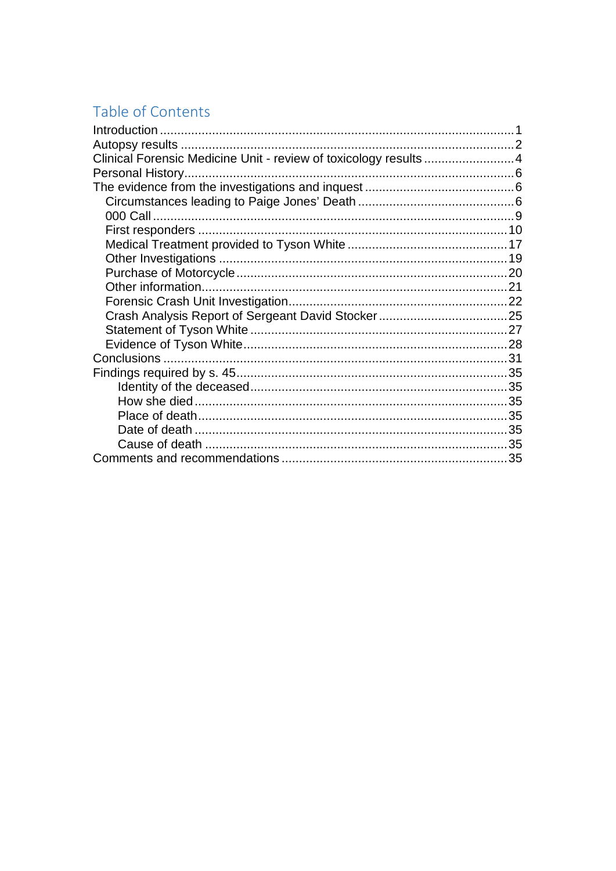## Table of Contents

| Clinical Forensic Medicine Unit - review of toxicology results  4 |  |
|-------------------------------------------------------------------|--|
|                                                                   |  |
|                                                                   |  |
|                                                                   |  |
|                                                                   |  |
|                                                                   |  |
|                                                                   |  |
|                                                                   |  |
|                                                                   |  |
|                                                                   |  |
|                                                                   |  |
|                                                                   |  |
|                                                                   |  |
|                                                                   |  |
|                                                                   |  |
|                                                                   |  |
|                                                                   |  |
|                                                                   |  |
|                                                                   |  |
|                                                                   |  |
|                                                                   |  |
|                                                                   |  |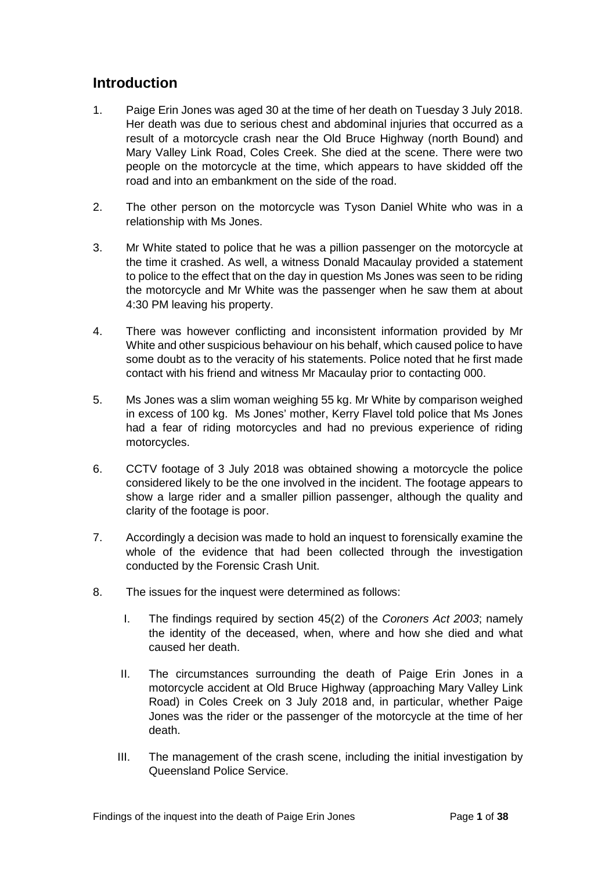## <span id="page-2-0"></span>**Introduction**

- 1. Paige Erin Jones was aged 30 at the time of her death on Tuesday 3 July 2018. Her death was due to serious chest and abdominal injuries that occurred as a result of a motorcycle crash near the Old Bruce Highway (north Bound) and Mary Valley Link Road, Coles Creek. She died at the scene. There were two people on the motorcycle at the time, which appears to have skidded off the road and into an embankment on the side of the road.
- 2. The other person on the motorcycle was Tyson Daniel White who was in a relationship with Ms Jones.
- 3. Mr White stated to police that he was a pillion passenger on the motorcycle at the time it crashed. As well, a witness Donald Macaulay provided a statement to police to the effect that on the day in question Ms Jones was seen to be riding the motorcycle and Mr White was the passenger when he saw them at about 4:30 PM leaving his property.
- 4. There was however conflicting and inconsistent information provided by Mr White and other suspicious behaviour on his behalf, which caused police to have some doubt as to the veracity of his statements. Police noted that he first made contact with his friend and witness Mr Macaulay prior to contacting 000.
- 5. Ms Jones was a slim woman weighing 55 kg. Mr White by comparison weighed in excess of 100 kg. Ms Jones' mother, Kerry Flavel told police that Ms Jones had a fear of riding motorcycles and had no previous experience of riding motorcycles.
- 6. CCTV footage of 3 July 2018 was obtained showing a motorcycle the police considered likely to be the one involved in the incident. The footage appears to show a large rider and a smaller pillion passenger, although the quality and clarity of the footage is poor.
- 7. Accordingly a decision was made to hold an inquest to forensically examine the whole of the evidence that had been collected through the investigation conducted by the Forensic Crash Unit.
- 8. The issues for the inquest were determined as follows:
	- I. The findings required by section 45(2) of the *Coroners Act 2003*; namely the identity of the deceased, when, where and how she died and what caused her death.
	- II. The circumstances surrounding the death of Paige Erin Jones in a motorcycle accident at Old Bruce Highway (approaching Mary Valley Link Road) in Coles Creek on 3 July 2018 and, in particular, whether Paige Jones was the rider or the passenger of the motorcycle at the time of her death.
	- III. The management of the crash scene, including the initial investigation by Queensland Police Service.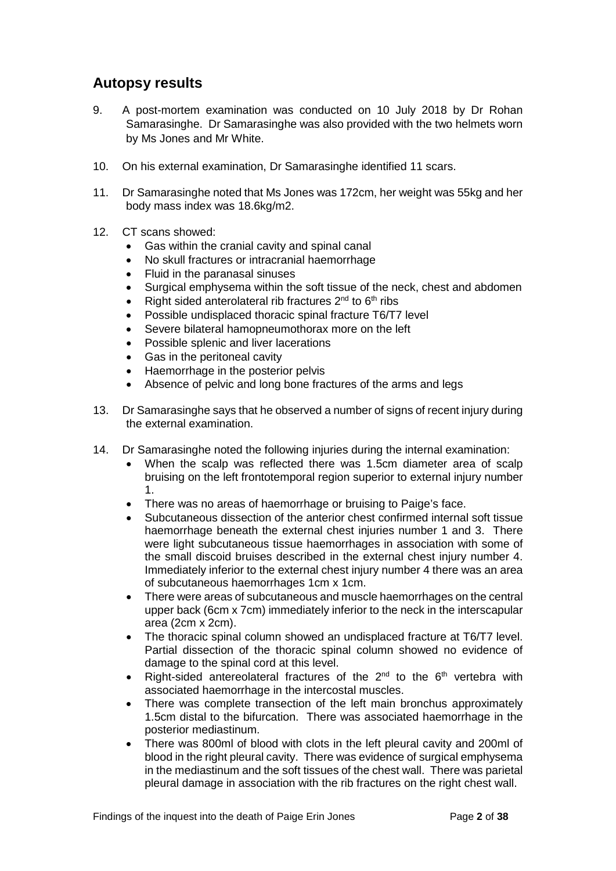## <span id="page-3-0"></span>**Autopsy results**

- 9. A post-mortem examination was conducted on 10 July 2018 by Dr Rohan Samarasinghe. Dr Samarasinghe was also provided with the two helmets worn by Ms Jones and Mr White.
- 10. On his external examination, Dr Samarasinghe identified 11 scars.
- 11. Dr Samarasinghe noted that Ms Jones was 172cm, her weight was 55kg and her body mass index was 18.6kg/m2.
- 12. CT scans showed:
	- Gas within the cranial cavity and spinal canal
	- No skull fractures or intracranial haemorrhage
	- Fluid in the paranasal sinuses
	- Surgical emphysema within the soft tissue of the neck, chest and abdomen
	- Right sided anterolateral rib fractures  $2^{nd}$  to  $6^{th}$  ribs
	- Possible undisplaced thoracic spinal fracture T6/T7 level
	- Severe bilateral hamopneumothorax more on the left
	- Possible splenic and liver lacerations
	- Gas in the peritoneal cavity
	- Haemorrhage in the posterior pelvis
	- Absence of pelvic and long bone fractures of the arms and legs
- 13. Dr Samarasinghe says that he observed a number of signs of recent injury during the external examination.
- 14. Dr Samarasinghe noted the following injuries during the internal examination:
	- When the scalp was reflected there was 1.5cm diameter area of scalp bruising on the left frontotemporal region superior to external injury number 1.
	- There was no areas of haemorrhage or bruising to Paige's face.
	- Subcutaneous dissection of the anterior chest confirmed internal soft tissue haemorrhage beneath the external chest injuries number 1 and 3. There were light subcutaneous tissue haemorrhages in association with some of the small discoid bruises described in the external chest injury number 4. Immediately inferior to the external chest injury number 4 there was an area of subcutaneous haemorrhages 1cm x 1cm.
	- There were areas of subcutaneous and muscle haemorrhages on the central upper back (6cm x 7cm) immediately inferior to the neck in the interscapular area (2cm x 2cm).
	- The thoracic spinal column showed an undisplaced fracture at T6/T7 level. Partial dissection of the thoracic spinal column showed no evidence of damage to the spinal cord at this level.
	- Right-sided antereolateral fractures of the  $2^{nd}$  to the  $6^{th}$  vertebra with associated haemorrhage in the intercostal muscles.
	- There was complete transection of the left main bronchus approximately 1.5cm distal to the bifurcation. There was associated haemorrhage in the posterior mediastinum.
	- There was 800ml of blood with clots in the left pleural cavity and 200ml of blood in the right pleural cavity. There was evidence of surgical emphysema in the mediastinum and the soft tissues of the chest wall. There was parietal pleural damage in association with the rib fractures on the right chest wall.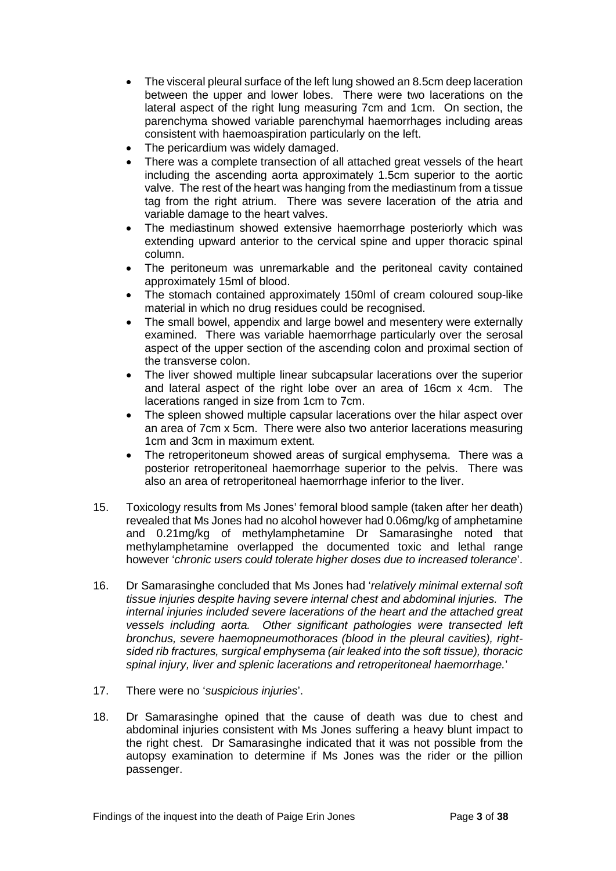- The visceral pleural surface of the left lung showed an 8.5cm deep laceration between the upper and lower lobes. There were two lacerations on the lateral aspect of the right lung measuring 7cm and 1cm. On section, the parenchyma showed variable parenchymal haemorrhages including areas consistent with haemoaspiration particularly on the left.
- The pericardium was widely damaged.
- There was a complete transection of all attached great vessels of the heart including the ascending aorta approximately 1.5cm superior to the aortic valve. The rest of the heart was hanging from the mediastinum from a tissue tag from the right atrium. There was severe laceration of the atria and variable damage to the heart valves.
- The mediastinum showed extensive haemorrhage posteriorly which was extending upward anterior to the cervical spine and upper thoracic spinal column.
- The peritoneum was unremarkable and the peritoneal cavity contained approximately 15ml of blood.
- The stomach contained approximately 150ml of cream coloured soup-like material in which no drug residues could be recognised.
- The small bowel, appendix and large bowel and mesentery were externally examined. There was variable haemorrhage particularly over the serosal aspect of the upper section of the ascending colon and proximal section of the transverse colon.
- The liver showed multiple linear subcapsular lacerations over the superior and lateral aspect of the right lobe over an area of 16cm x 4cm. The lacerations ranged in size from 1cm to 7cm.
- The spleen showed multiple capsular lacerations over the hilar aspect over an area of 7cm x 5cm. There were also two anterior lacerations measuring 1cm and 3cm in maximum extent.
- The retroperitoneum showed areas of surgical emphysema. There was a posterior retroperitoneal haemorrhage superior to the pelvis. There was also an area of retroperitoneal haemorrhage inferior to the liver.
- 15. Toxicology results from Ms Jones' femoral blood sample (taken after her death) revealed that Ms Jones had no alcohol however had 0.06mg/kg of amphetamine and 0.21mg/kg of methylamphetamine Dr Samarasinghe noted that methylamphetamine overlapped the documented toxic and lethal range however '*chronic users could tolerate higher doses due to increased tolerance*'.
- 16. Dr Samarasinghe concluded that Ms Jones had '*relatively minimal external soft tissue injuries despite having severe internal chest and abdominal injuries. The internal injuries included severe lacerations of the heart and the attached great vessels including aorta. Other significant pathologies were transected left bronchus, severe haemopneumothoraces (blood in the pleural cavities), rightsided rib fractures, surgical emphysema (air leaked into the soft tissue), thoracic spinal injury, liver and splenic lacerations and retroperitoneal haemorrhage.*'
- 17. There were no '*suspicious injuries*'.
- 18. Dr Samarasinghe opined that the cause of death was due to chest and abdominal injuries consistent with Ms Jones suffering a heavy blunt impact to the right chest. Dr Samarasinghe indicated that it was not possible from the autopsy examination to determine if Ms Jones was the rider or the pillion passenger.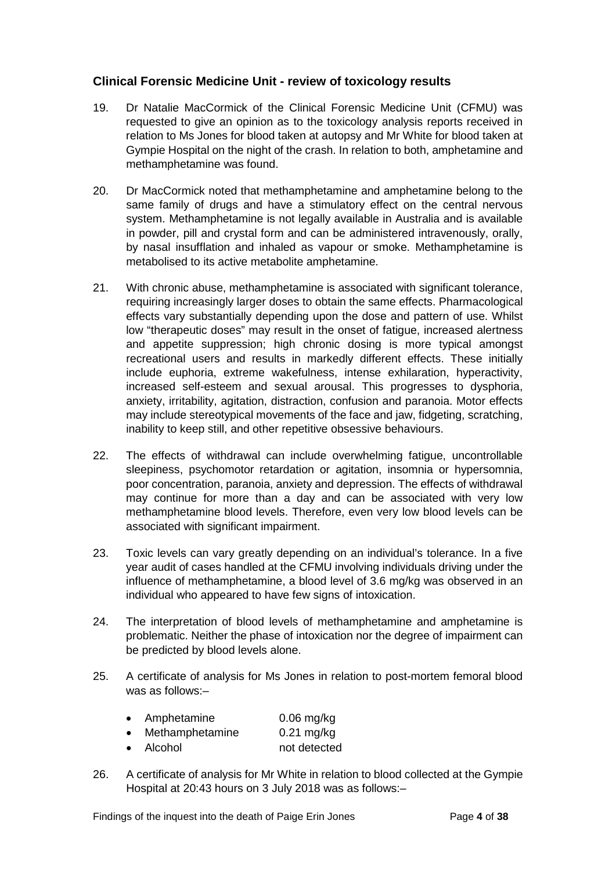#### <span id="page-5-0"></span>**Clinical Forensic Medicine Unit - review of toxicology results**

- 19. Dr Natalie MacCormick of the Clinical Forensic Medicine Unit (CFMU) was requested to give an opinion as to the toxicology analysis reports received in relation to Ms Jones for blood taken at autopsy and Mr White for blood taken at Gympie Hospital on the night of the crash. In relation to both, amphetamine and methamphetamine was found.
- 20. Dr MacCormick noted that methamphetamine and amphetamine belong to the same family of drugs and have a stimulatory effect on the central nervous system. Methamphetamine is not legally available in Australia and is available in powder, pill and crystal form and can be administered intravenously, orally, by nasal insufflation and inhaled as vapour or smoke. Methamphetamine is metabolised to its active metabolite amphetamine.
- 21. With chronic abuse, methamphetamine is associated with significant tolerance, requiring increasingly larger doses to obtain the same effects. Pharmacological effects vary substantially depending upon the dose and pattern of use. Whilst low "therapeutic doses" may result in the onset of fatigue, increased alertness and appetite suppression; high chronic dosing is more typical amongst recreational users and results in markedly different effects. These initially include euphoria, extreme wakefulness, intense exhilaration, hyperactivity, increased self-esteem and sexual arousal. This progresses to dysphoria, anxiety, irritability, agitation, distraction, confusion and paranoia. Motor effects may include stereotypical movements of the face and jaw, fidgeting, scratching, inability to keep still, and other repetitive obsessive behaviours.
- 22. The effects of withdrawal can include overwhelming fatigue, uncontrollable sleepiness, psychomotor retardation or agitation, insomnia or hypersomnia, poor concentration, paranoia, anxiety and depression. The effects of withdrawal may continue for more than a day and can be associated with very low methamphetamine blood levels. Therefore, even very low blood levels can be associated with significant impairment.
- 23. Toxic levels can vary greatly depending on an individual's tolerance. In a five year audit of cases handled at the CFMU involving individuals driving under the influence of methamphetamine, a blood level of 3.6 mg/kg was observed in an individual who appeared to have few signs of intoxication.
- 24. The interpretation of blood levels of methamphetamine and amphetamine is problematic. Neither the phase of intoxication nor the degree of impairment can be predicted by blood levels alone.
- 25. A certificate of analysis for Ms Jones in relation to post-mortem femoral blood was as follows:–

|  | Amphetamine | $0.06$ mg/kg |
|--|-------------|--------------|
|--|-------------|--------------|

- Methamphetamine 0.21 mg/kg
- Alcohol not detected
- 26. A certificate of analysis for Mr White in relation to blood collected at the Gympie Hospital at 20:43 hours on 3 July 2018 was as follows:–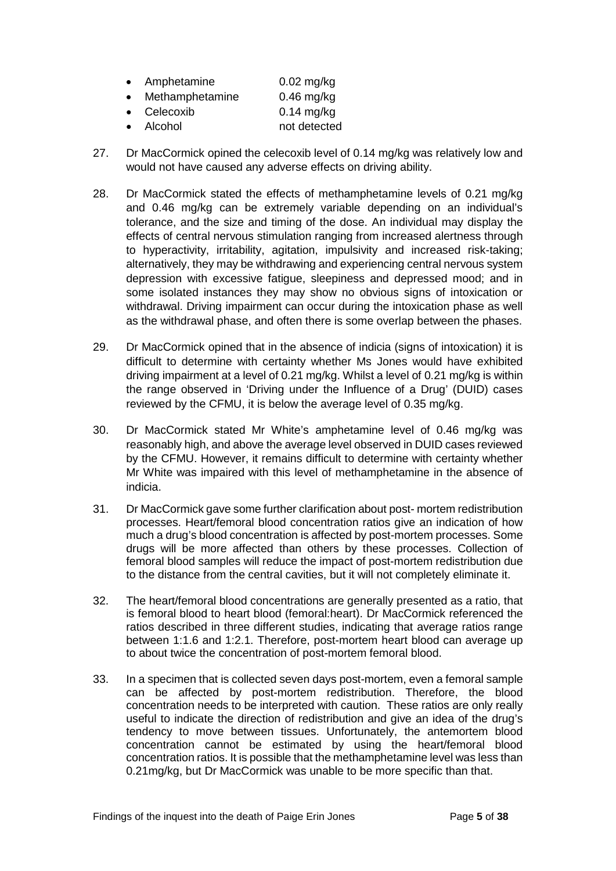| Amphetamine      | $0.02$ mg/kg       |
|------------------|--------------------|
| Mathampohatamina | $0.40 \text{ m/s}$ |

- Methamphetamine 0.46 mg/kg • Celecoxib 0.14 mg/kg
- Alcohol not detected
- 27. Dr MacCormick opined the celecoxib level of 0.14 mg/kg was relatively low and would not have caused any adverse effects on driving ability.
- 28. Dr MacCormick stated the effects of methamphetamine levels of 0.21 mg/kg and 0.46 mg/kg can be extremely variable depending on an individual's tolerance, and the size and timing of the dose. An individual may display the effects of central nervous stimulation ranging from increased alertness through to hyperactivity, irritability, agitation, impulsivity and increased risk-taking; alternatively, they may be withdrawing and experiencing central nervous system depression with excessive fatigue, sleepiness and depressed mood; and in some isolated instances they may show no obvious signs of intoxication or withdrawal. Driving impairment can occur during the intoxication phase as well as the withdrawal phase, and often there is some overlap between the phases.
- 29. Dr MacCormick opined that in the absence of indicia (signs of intoxication) it is difficult to determine with certainty whether Ms Jones would have exhibited driving impairment at a level of 0.21 mg/kg. Whilst a level of 0.21 mg/kg is within the range observed in 'Driving under the Influence of a Drug' (DUID) cases reviewed by the CFMU, it is below the average level of 0.35 mg/kg.
- 30. Dr MacCormick stated Mr White's amphetamine level of 0.46 mg/kg was reasonably high, and above the average level observed in DUID cases reviewed by the CFMU. However, it remains difficult to determine with certainty whether Mr White was impaired with this level of methamphetamine in the absence of indicia.
- 31. Dr MacCormick gave some further clarification about post- mortem redistribution processes. Heart/femoral blood concentration ratios give an indication of how much a drug's blood concentration is affected by post-mortem processes. Some drugs will be more affected than others by these processes. Collection of femoral blood samples will reduce the impact of post-mortem redistribution due to the distance from the central cavities, but it will not completely eliminate it.
- 32. The heart/femoral blood concentrations are generally presented as a ratio, that is femoral blood to heart blood (femoral:heart). Dr MacCormick referenced the ratios described in three different studies, indicating that average ratios range between 1:1.6 and 1:2.1. Therefore, post-mortem heart blood can average up to about twice the concentration of post-mortem femoral blood.
- 33. In a specimen that is collected seven days post-mortem, even a femoral sample can be affected by post-mortem redistribution. Therefore, the blood concentration needs to be interpreted with caution. These ratios are only really useful to indicate the direction of redistribution and give an idea of the drug's tendency to move between tissues. Unfortunately, the antemortem blood concentration cannot be estimated by using the heart/femoral blood concentration ratios. It is possible that the methamphetamine level was less than 0.21mg/kg, but Dr MacCormick was unable to be more specific than that.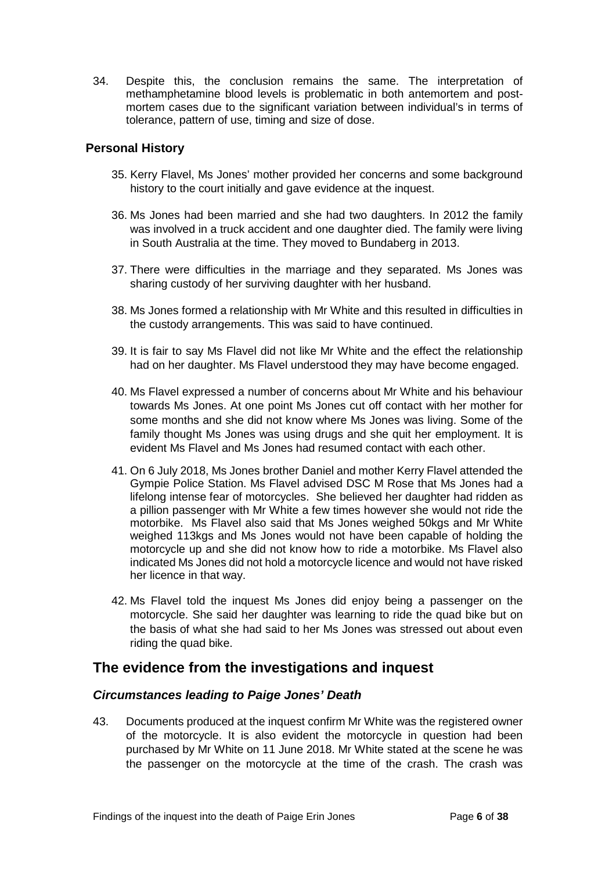34. Despite this, the conclusion remains the same. The interpretation of methamphetamine blood levels is problematic in both antemortem and postmortem cases due to the significant variation between individual's in terms of tolerance, pattern of use, timing and size of dose.

#### <span id="page-7-0"></span>**Personal History**

- 35. Kerry Flavel, Ms Jones' mother provided her concerns and some background history to the court initially and gave evidence at the inquest.
- 36. Ms Jones had been married and she had two daughters. In 2012 the family was involved in a truck accident and one daughter died. The family were living in South Australia at the time. They moved to Bundaberg in 2013.
- 37. There were difficulties in the marriage and they separated. Ms Jones was sharing custody of her surviving daughter with her husband.
- 38. Ms Jones formed a relationship with Mr White and this resulted in difficulties in the custody arrangements. This was said to have continued.
- 39. It is fair to say Ms Flavel did not like Mr White and the effect the relationship had on her daughter. Ms Flavel understood they may have become engaged.
- 40. Ms Flavel expressed a number of concerns about Mr White and his behaviour towards Ms Jones. At one point Ms Jones cut off contact with her mother for some months and she did not know where Ms Jones was living. Some of the family thought Ms Jones was using drugs and she quit her employment. It is evident Ms Flavel and Ms Jones had resumed contact with each other.
- 41. On 6 July 2018, Ms Jones brother Daniel and mother Kerry Flavel attended the Gympie Police Station. Ms Flavel advised DSC M Rose that Ms Jones had a lifelong intense fear of motorcycles. She believed her daughter had ridden as a pillion passenger with Mr White a few times however she would not ride the motorbike. Ms Flavel also said that Ms Jones weighed 50kgs and Mr White weighed 113kgs and Ms Jones would not have been capable of holding the motorcycle up and she did not know how to ride a motorbike. Ms Flavel also indicated Ms Jones did not hold a motorcycle licence and would not have risked her licence in that way.
- 42. Ms Flavel told the inquest Ms Jones did enjoy being a passenger on the motorcycle. She said her daughter was learning to ride the quad bike but on the basis of what she had said to her Ms Jones was stressed out about even riding the quad bike.

### <span id="page-7-1"></span>**The evidence from the investigations and inquest**

#### <span id="page-7-2"></span>*Circumstances leading to Paige Jones' Death*

43. Documents produced at the inquest confirm Mr White was the registered owner of the motorcycle. It is also evident the motorcycle in question had been purchased by Mr White on 11 June 2018. Mr White stated at the scene he was the passenger on the motorcycle at the time of the crash. The crash was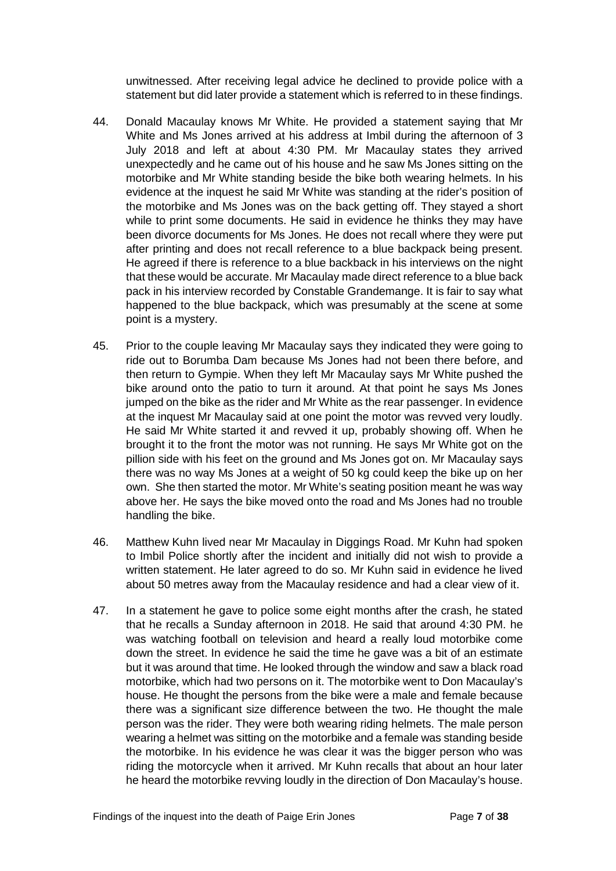unwitnessed. After receiving legal advice he declined to provide police with a statement but did later provide a statement which is referred to in these findings.

- 44. Donald Macaulay knows Mr White. He provided a statement saying that Mr White and Ms Jones arrived at his address at Imbil during the afternoon of 3 July 2018 and left at about 4:30 PM. Mr Macaulay states they arrived unexpectedly and he came out of his house and he saw Ms Jones sitting on the motorbike and Mr White standing beside the bike both wearing helmets. In his evidence at the inquest he said Mr White was standing at the rider's position of the motorbike and Ms Jones was on the back getting off. They stayed a short while to print some documents. He said in evidence he thinks they may have been divorce documents for Ms Jones. He does not recall where they were put after printing and does not recall reference to a blue backpack being present. He agreed if there is reference to a blue backback in his interviews on the night that these would be accurate. Mr Macaulay made direct reference to a blue back pack in his interview recorded by Constable Grandemange. It is fair to say what happened to the blue backpack, which was presumably at the scene at some point is a mystery.
- 45. Prior to the couple leaving Mr Macaulay says they indicated they were going to ride out to Borumba Dam because Ms Jones had not been there before, and then return to Gympie. When they left Mr Macaulay says Mr White pushed the bike around onto the patio to turn it around. At that point he says Ms Jones jumped on the bike as the rider and Mr White as the rear passenger. In evidence at the inquest Mr Macaulay said at one point the motor was revved very loudly. He said Mr White started it and revved it up, probably showing off. When he brought it to the front the motor was not running. He says Mr White got on the pillion side with his feet on the ground and Ms Jones got on. Mr Macaulay says there was no way Ms Jones at a weight of 50 kg could keep the bike up on her own. She then started the motor. Mr White's seating position meant he was way above her. He says the bike moved onto the road and Ms Jones had no trouble handling the bike.
- 46. Matthew Kuhn lived near Mr Macaulay in Diggings Road. Mr Kuhn had spoken to Imbil Police shortly after the incident and initially did not wish to provide a written statement. He later agreed to do so. Mr Kuhn said in evidence he lived about 50 metres away from the Macaulay residence and had a clear view of it.
- 47. In a statement he gave to police some eight months after the crash, he stated that he recalls a Sunday afternoon in 2018. He said that around 4:30 PM. he was watching football on television and heard a really loud motorbike come down the street. In evidence he said the time he gave was a bit of an estimate but it was around that time. He looked through the window and saw a black road motorbike, which had two persons on it. The motorbike went to Don Macaulay's house. He thought the persons from the bike were a male and female because there was a significant size difference between the two. He thought the male person was the rider. They were both wearing riding helmets. The male person wearing a helmet was sitting on the motorbike and a female was standing beside the motorbike. In his evidence he was clear it was the bigger person who was riding the motorcycle when it arrived. Mr Kuhn recalls that about an hour later he heard the motorbike revving loudly in the direction of Don Macaulay's house.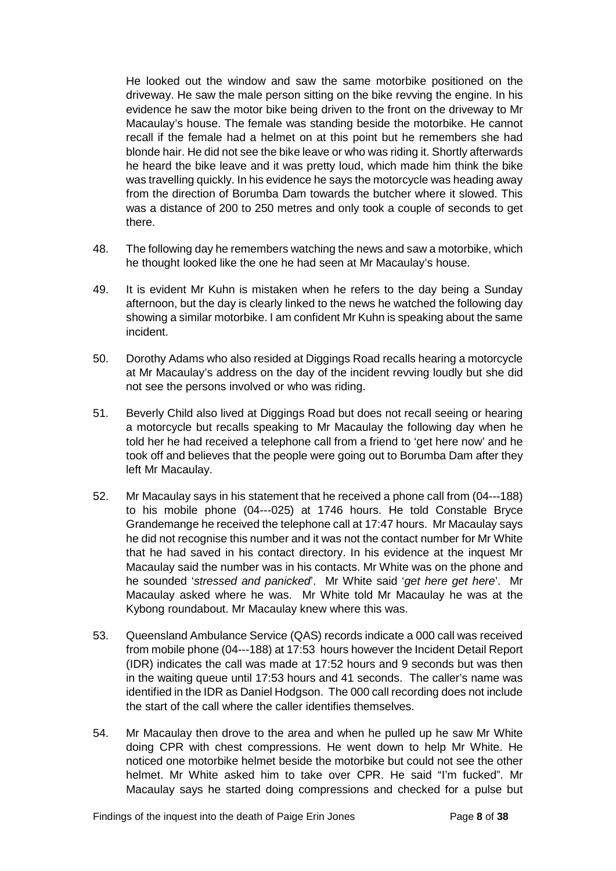He looked out the window and saw the same motorbike positioned on the driveway. He saw the male person sitting on the bike revving the engine. In his evidence he saw the motor bike being driven to the front on the driveway to Mr Macaulay's house. The female was standing beside the motorbike. He cannot recall if the female had a helmet on at this point but he remembers she had blonde hair. He did not see the bike leave or who was riding it. Shortly afterwards he heard the bike leave and it was pretty loud, which made him think the bike was travelling quickly. In his evidence he says the motorcycle was heading away from the direction of Borumba Dam towards the butcher where it slowed. This was a distance of 200 to 250 metres and only took a couple of seconds to get there.

- 48. The following day he remembers watching the news and saw a motorbike, which he thought looked like the one he had seen at Mr Macaulay's house.
- 49. It is evident Mr Kuhn is mistaken when he refers to the day being a Sunday afternoon, but the day is clearly linked to the news he watched the following day showing a similar motorbike. I am confident Mr Kuhn is speaking about the same incident.
- 50. Dorothy Adams who also resided at Diggings Road recalls hearing a motorcycle at Mr Macaulay's address on the day of the incident revving loudly but she did not see the persons involved or who was riding.
- 51. Beverly Child also lived at Diggings Road but does not recall seeing or hearing a motorcycle but recalls speaking to Mr Macaulay the following day when he told her he had received a telephone call from a friend to 'get here now' and he took off and believes that the people were going out to Borumba Dam after they left Mr Macaulay.
- 52. Mr Macaulay says in his statement that he received a phone call from (04---188) to his mobile phone (04---025) at 1746 hours. He told Constable Bryce Grandemange he received the telephone call at 17:47 hours. Mr Macaulay says he did not recognise this number and it was not the contact number for Mr White that he had saved in his contact directory. In his evidence at the inquest Mr Macaulay said the number was in his contacts. Mr White was on the phone and he sounded '*stressed and panicked*'. Mr White said '*get here get here*'. Mr Macaulay asked where he was. Mr White told Mr Macaulay he was at the Kybong roundabout. Mr Macaulay knew where this was.
- 53. Queensland Ambulance Service (QAS) records indicate a 000 call was received from mobile phone (04---188) at 17:53 hours however the Incident Detail Report (IDR) indicates the call was made at 17:52 hours and 9 seconds but was then in the waiting queue until 17:53 hours and 41 seconds. The caller's name was identified in the IDR as Daniel Hodgson. The 000 call recording does not include the start of the call where the caller identifies themselves.
- 54. Mr Macaulay then drove to the area and when he pulled up he saw Mr White doing CPR with chest compressions. He went down to help Mr White. He noticed one motorbike helmet beside the motorbike but could not see the other helmet. Mr White asked him to take over CPR. He said "I'm fucked". Mr Macaulay says he started doing compressions and checked for a pulse but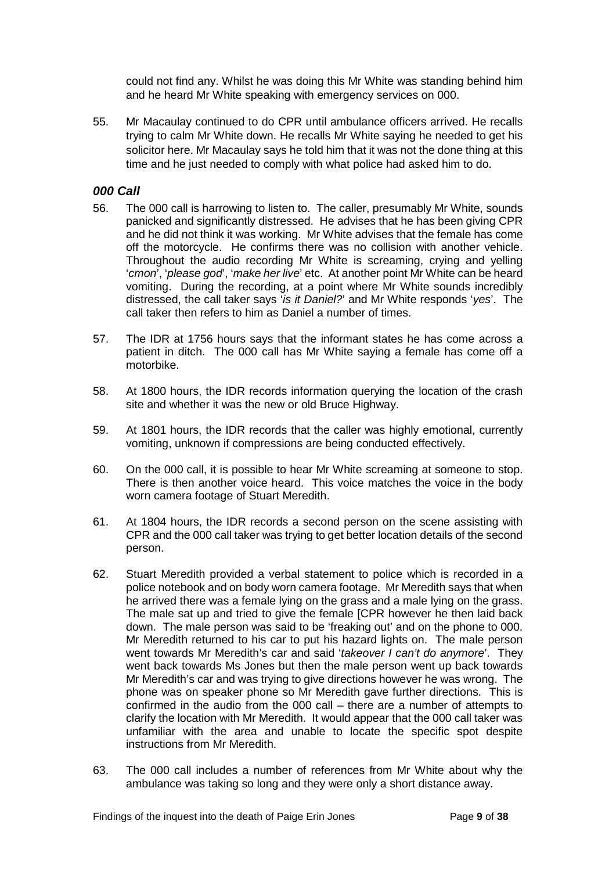could not find any. Whilst he was doing this Mr White was standing behind him and he heard Mr White speaking with emergency services on 000.

55. Mr Macaulay continued to do CPR until ambulance officers arrived. He recalls trying to calm Mr White down. He recalls Mr White saying he needed to get his solicitor here. Mr Macaulay says he told him that it was not the done thing at this time and he just needed to comply with what police had asked him to do.

#### <span id="page-10-0"></span>*000 Call*

- 56. The 000 call is harrowing to listen to. The caller, presumably Mr White, sounds panicked and significantly distressed. He advises that he has been giving CPR and he did not think it was working. Mr White advises that the female has come off the motorcycle. He confirms there was no collision with another vehicle. Throughout the audio recording Mr White is screaming, crying and yelling '*cmon*', '*please god*', '*make her live*' etc. At another point Mr White can be heard vomiting. During the recording, at a point where Mr White sounds incredibly distressed, the call taker says '*is it Daniel?*' and Mr White responds '*yes*'. The call taker then refers to him as Daniel a number of times.
- 57. The IDR at 1756 hours says that the informant states he has come across a patient in ditch. The 000 call has Mr White saying a female has come off a motorbike.
- 58. At 1800 hours, the IDR records information querying the location of the crash site and whether it was the new or old Bruce Highway.
- 59. At 1801 hours, the IDR records that the caller was highly emotional, currently vomiting, unknown if compressions are being conducted effectively.
- 60. On the 000 call, it is possible to hear Mr White screaming at someone to stop. There is then another voice heard. This voice matches the voice in the body worn camera footage of Stuart Meredith.
- 61. At 1804 hours, the IDR records a second person on the scene assisting with CPR and the 000 call taker was trying to get better location details of the second person.
- 62. Stuart Meredith provided a verbal statement to police which is recorded in a police notebook and on body worn camera footage. Mr Meredith says that when he arrived there was a female lying on the grass and a male lying on the grass. The male sat up and tried to give the female [CPR however he then laid back down. The male person was said to be 'freaking out' and on the phone to 000. Mr Meredith returned to his car to put his hazard lights on. The male person went towards Mr Meredith's car and said '*takeover I can't do anymore*'. They went back towards Ms Jones but then the male person went up back towards Mr Meredith's car and was trying to give directions however he was wrong. The phone was on speaker phone so Mr Meredith gave further directions. This is confirmed in the audio from the 000 call – there are a number of attempts to clarify the location with Mr Meredith. It would appear that the 000 call taker was unfamiliar with the area and unable to locate the specific spot despite instructions from Mr Meredith.
- 63. The 000 call includes a number of references from Mr White about why the ambulance was taking so long and they were only a short distance away.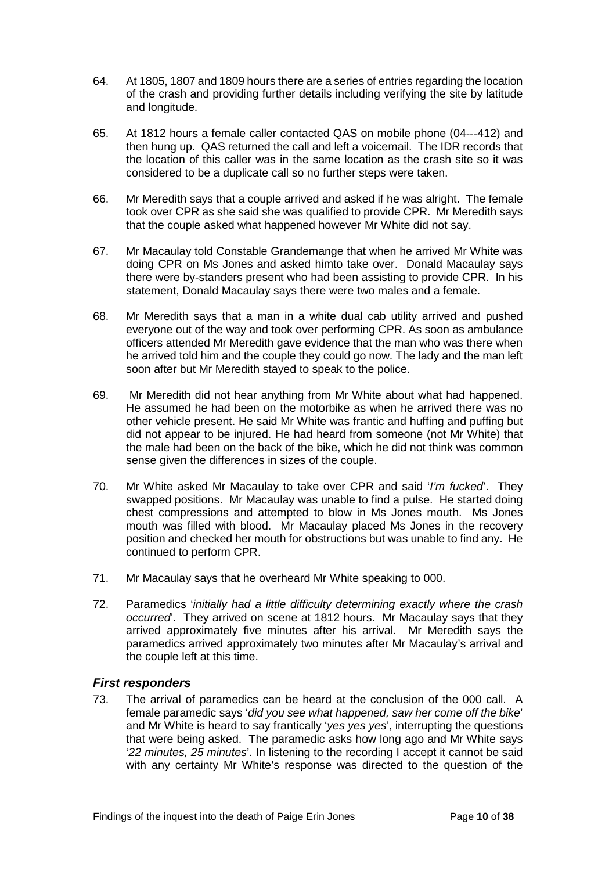- 64. At 1805, 1807 and 1809 hours there are a series of entries regarding the location of the crash and providing further details including verifying the site by latitude and longitude.
- 65. At 1812 hours a female caller contacted QAS on mobile phone (04---412) and then hung up. QAS returned the call and left a voicemail. The IDR records that the location of this caller was in the same location as the crash site so it was considered to be a duplicate call so no further steps were taken.
- 66. Mr Meredith says that a couple arrived and asked if he was alright. The female took over CPR as she said she was qualified to provide CPR. Mr Meredith says that the couple asked what happened however Mr White did not say.
- 67. Mr Macaulay told Constable Grandemange that when he arrived Mr White was doing CPR on Ms Jones and asked himto take over. Donald Macaulay says there were by-standers present who had been assisting to provide CPR. In his statement, Donald Macaulay says there were two males and a female.
- 68. Mr Meredith says that a man in a white dual cab utility arrived and pushed everyone out of the way and took over performing CPR. As soon as ambulance officers attended Mr Meredith gave evidence that the man who was there when he arrived told him and the couple they could go now. The lady and the man left soon after but Mr Meredith stayed to speak to the police.
- 69. Mr Meredith did not hear anything from Mr White about what had happened. He assumed he had been on the motorbike as when he arrived there was no other vehicle present. He said Mr White was frantic and huffing and puffing but did not appear to be injured. He had heard from someone (not Mr White) that the male had been on the back of the bike, which he did not think was common sense given the differences in sizes of the couple.
- 70. Mr White asked Mr Macaulay to take over CPR and said '*I'm fucked*'. They swapped positions. Mr Macaulay was unable to find a pulse. He started doing chest compressions and attempted to blow in Ms Jones mouth. Ms Jones mouth was filled with blood. Mr Macaulay placed Ms Jones in the recovery position and checked her mouth for obstructions but was unable to find any. He continued to perform CPR.
- 71. Mr Macaulay says that he overheard Mr White speaking to 000.
- 72. Paramedics '*initially had a little difficulty determining exactly where the crash occurred*'. They arrived on scene at 1812 hours. Mr Macaulay says that they arrived approximately five minutes after his arrival. Mr Meredith says the paramedics arrived approximately two minutes after Mr Macaulay's arrival and the couple left at this time.

#### <span id="page-11-0"></span>*First responders*

73. The arrival of paramedics can be heard at the conclusion of the 000 call. A female paramedic says '*did you see what happened, saw her come off the bike*' and Mr White is heard to say frantically '*yes yes yes*', interrupting the questions that were being asked. The paramedic asks how long ago and Mr White says '*22 minutes, 25 minutes*'. In listening to the recording I accept it cannot be said with any certainty Mr White's response was directed to the question of the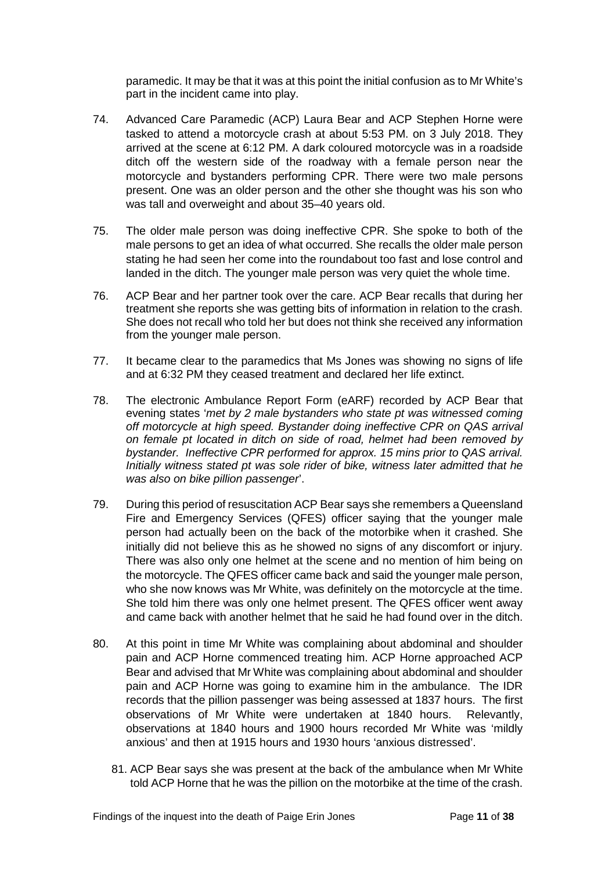paramedic. It may be that it was at this point the initial confusion as to Mr White's part in the incident came into play.

- 74. Advanced Care Paramedic (ACP) Laura Bear and ACP Stephen Horne were tasked to attend a motorcycle crash at about 5:53 PM. on 3 July 2018. They arrived at the scene at 6:12 PM. A dark coloured motorcycle was in a roadside ditch off the western side of the roadway with a female person near the motorcycle and bystanders performing CPR. There were two male persons present. One was an older person and the other she thought was his son who was tall and overweight and about 35–40 years old.
- 75. The older male person was doing ineffective CPR. She spoke to both of the male persons to get an idea of what occurred. She recalls the older male person stating he had seen her come into the roundabout too fast and lose control and landed in the ditch. The younger male person was very quiet the whole time.
- 76. ACP Bear and her partner took over the care. ACP Bear recalls that during her treatment she reports she was getting bits of information in relation to the crash. She does not recall who told her but does not think she received any information from the younger male person.
- 77. It became clear to the paramedics that Ms Jones was showing no signs of life and at 6:32 PM they ceased treatment and declared her life extinct.
- 78. The electronic Ambulance Report Form (eARF) recorded by ACP Bear that evening states '*met by 2 male bystanders who state pt was witnessed coming off motorcycle at high speed. Bystander doing ineffective CPR on QAS arrival on female pt located in ditch on side of road, helmet had been removed by bystander. Ineffective CPR performed for approx. 15 mins prior to QAS arrival. Initially witness stated pt was sole rider of bike, witness later admitted that he was also on bike pillion passenger*'.
- 79. During this period of resuscitation ACP Bear says she remembers a Queensland Fire and Emergency Services (QFES) officer saying that the younger male person had actually been on the back of the motorbike when it crashed. She initially did not believe this as he showed no signs of any discomfort or injury. There was also only one helmet at the scene and no mention of him being on the motorcycle. The QFES officer came back and said the younger male person, who she now knows was Mr White, was definitely on the motorcycle at the time. She told him there was only one helmet present. The QFES officer went away and came back with another helmet that he said he had found over in the ditch.
- 80. At this point in time Mr White was complaining about abdominal and shoulder pain and ACP Horne commenced treating him. ACP Horne approached ACP Bear and advised that Mr White was complaining about abdominal and shoulder pain and ACP Horne was going to examine him in the ambulance. The IDR records that the pillion passenger was being assessed at 1837 hours. The first observations of Mr White were undertaken at 1840 hours. Relevantly, observations at 1840 hours and 1900 hours recorded Mr White was 'mildly anxious' and then at 1915 hours and 1930 hours 'anxious distressed'.
	- 81. ACP Bear says she was present at the back of the ambulance when Mr White told ACP Horne that he was the pillion on the motorbike at the time of the crash.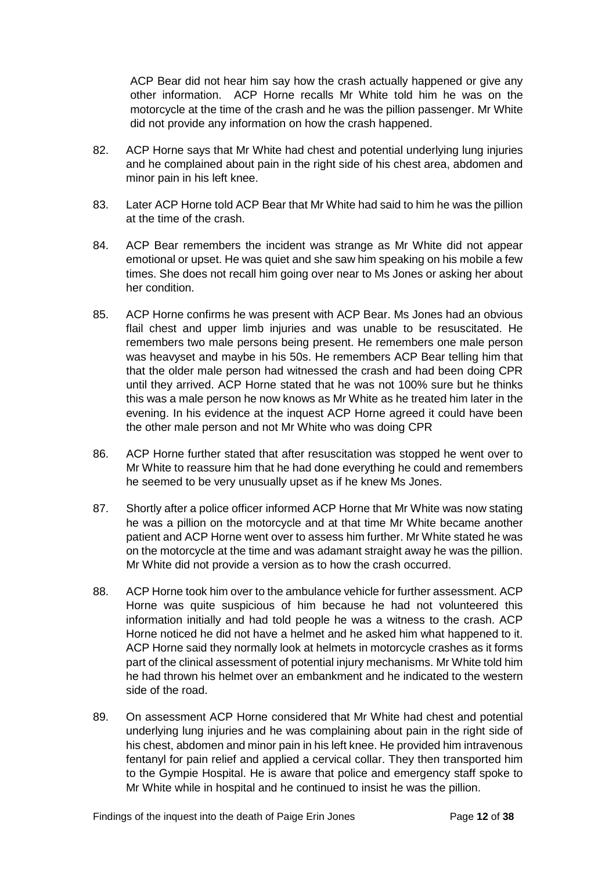ACP Bear did not hear him say how the crash actually happened or give any other information. ACP Horne recalls Mr White told him he was on the motorcycle at the time of the crash and he was the pillion passenger. Mr White did not provide any information on how the crash happened.

- 82. ACP Horne says that Mr White had chest and potential underlying lung injuries and he complained about pain in the right side of his chest area, abdomen and minor pain in his left knee.
- 83. Later ACP Horne told ACP Bear that Mr White had said to him he was the pillion at the time of the crash.
- 84. ACP Bear remembers the incident was strange as Mr White did not appear emotional or upset. He was quiet and she saw him speaking on his mobile a few times. She does not recall him going over near to Ms Jones or asking her about her condition.
- 85. ACP Horne confirms he was present with ACP Bear. Ms Jones had an obvious flail chest and upper limb injuries and was unable to be resuscitated. He remembers two male persons being present. He remembers one male person was heavyset and maybe in his 50s. He remembers ACP Bear telling him that that the older male person had witnessed the crash and had been doing CPR until they arrived. ACP Horne stated that he was not 100% sure but he thinks this was a male person he now knows as Mr White as he treated him later in the evening. In his evidence at the inquest ACP Horne agreed it could have been the other male person and not Mr White who was doing CPR
- 86. ACP Horne further stated that after resuscitation was stopped he went over to Mr White to reassure him that he had done everything he could and remembers he seemed to be very unusually upset as if he knew Ms Jones.
- 87. Shortly after a police officer informed ACP Horne that Mr White was now stating he was a pillion on the motorcycle and at that time Mr White became another patient and ACP Horne went over to assess him further. Mr White stated he was on the motorcycle at the time and was adamant straight away he was the pillion. Mr White did not provide a version as to how the crash occurred.
- 88. ACP Horne took him over to the ambulance vehicle for further assessment. ACP Horne was quite suspicious of him because he had not volunteered this information initially and had told people he was a witness to the crash. ACP Horne noticed he did not have a helmet and he asked him what happened to it. ACP Horne said they normally look at helmets in motorcycle crashes as it forms part of the clinical assessment of potential injury mechanisms. Mr White told him he had thrown his helmet over an embankment and he indicated to the western side of the road.
- 89. On assessment ACP Horne considered that Mr White had chest and potential underlying lung injuries and he was complaining about pain in the right side of his chest, abdomen and minor pain in his left knee. He provided him intravenous fentanyl for pain relief and applied a cervical collar. They then transported him to the Gympie Hospital. He is aware that police and emergency staff spoke to Mr White while in hospital and he continued to insist he was the pillion.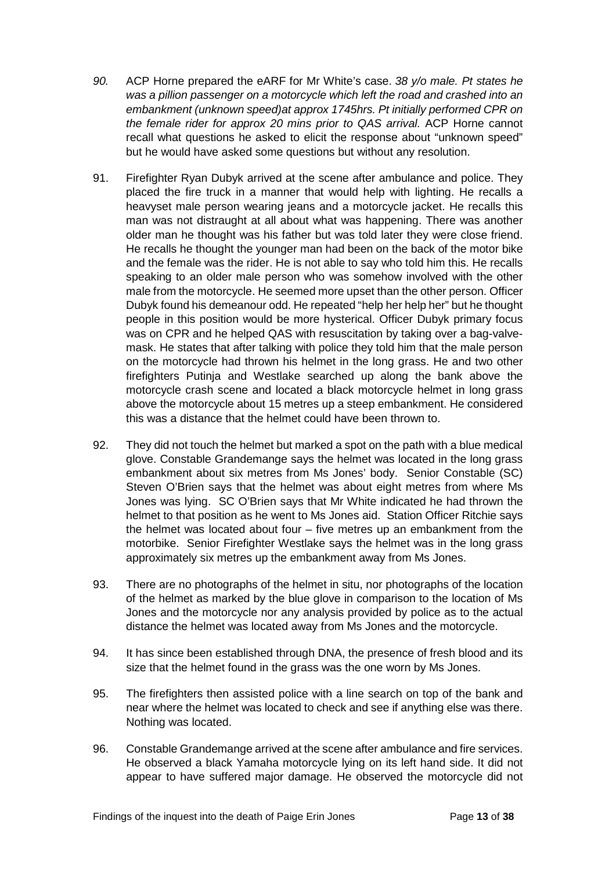- *90.* ACP Horne prepared the eARF for Mr White's case. *38 y/o male. Pt states he was a pillion passenger on a motorcycle which left the road and crashed into an embankment (unknown speed)at approx 1745hrs. Pt initially performed CPR on the female rider for approx 20 mins prior to QAS arrival.* ACP Horne cannot recall what questions he asked to elicit the response about "unknown speed" but he would have asked some questions but without any resolution.
- 91. Firefighter Ryan Dubyk arrived at the scene after ambulance and police. They placed the fire truck in a manner that would help with lighting. He recalls a heavyset male person wearing jeans and a motorcycle jacket. He recalls this man was not distraught at all about what was happening. There was another older man he thought was his father but was told later they were close friend. He recalls he thought the younger man had been on the back of the motor bike and the female was the rider. He is not able to say who told him this. He recalls speaking to an older male person who was somehow involved with the other male from the motorcycle. He seemed more upset than the other person. Officer Dubyk found his demeanour odd. He repeated "help her help her" but he thought people in this position would be more hysterical. Officer Dubyk primary focus was on CPR and he helped QAS with resuscitation by taking over a bag-valvemask. He states that after talking with police they told him that the male person on the motorcycle had thrown his helmet in the long grass. He and two other firefighters Putinja and Westlake searched up along the bank above the motorcycle crash scene and located a black motorcycle helmet in long grass above the motorcycle about 15 metres up a steep embankment. He considered this was a distance that the helmet could have been thrown to.
- 92. They did not touch the helmet but marked a spot on the path with a blue medical glove. Constable Grandemange says the helmet was located in the long grass embankment about six metres from Ms Jones' body. Senior Constable (SC) Steven O'Brien says that the helmet was about eight metres from where Ms Jones was lying. SC O'Brien says that Mr White indicated he had thrown the helmet to that position as he went to Ms Jones aid. Station Officer Ritchie says the helmet was located about four – five metres up an embankment from the motorbike. Senior Firefighter Westlake says the helmet was in the long grass approximately six metres up the embankment away from Ms Jones.
- 93. There are no photographs of the helmet in situ, nor photographs of the location of the helmet as marked by the blue glove in comparison to the location of Ms Jones and the motorcycle nor any analysis provided by police as to the actual distance the helmet was located away from Ms Jones and the motorcycle.
- 94. It has since been established through DNA, the presence of fresh blood and its size that the helmet found in the grass was the one worn by Ms Jones.
- 95. The firefighters then assisted police with a line search on top of the bank and near where the helmet was located to check and see if anything else was there. Nothing was located.
- 96. Constable Grandemange arrived at the scene after ambulance and fire services. He observed a black Yamaha motorcycle lying on its left hand side. It did not appear to have suffered major damage. He observed the motorcycle did not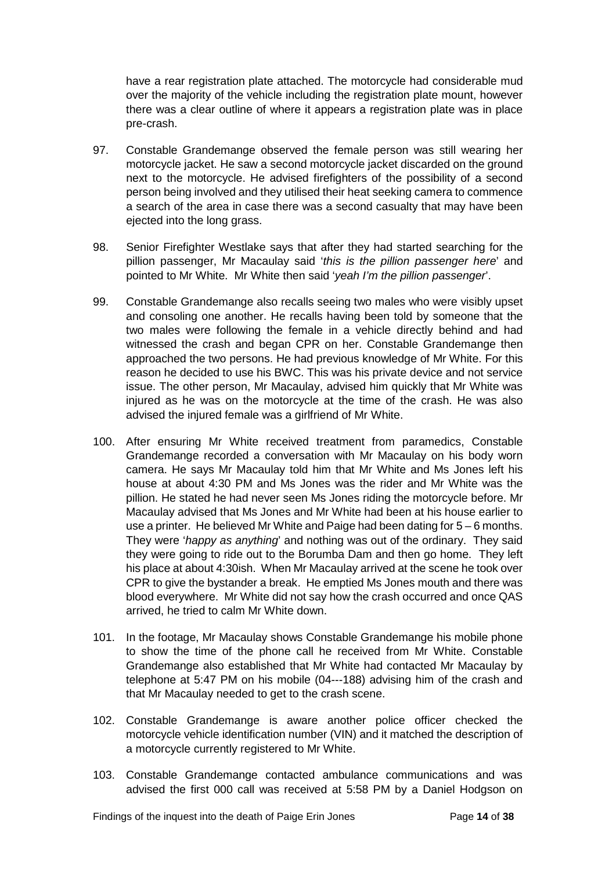have a rear registration plate attached. The motorcycle had considerable mud over the majority of the vehicle including the registration plate mount, however there was a clear outline of where it appears a registration plate was in place pre-crash.

- 97. Constable Grandemange observed the female person was still wearing her motorcycle jacket. He saw a second motorcycle jacket discarded on the ground next to the motorcycle. He advised firefighters of the possibility of a second person being involved and they utilised their heat seeking camera to commence a search of the area in case there was a second casualty that may have been ejected into the long grass.
- 98. Senior Firefighter Westlake says that after they had started searching for the pillion passenger, Mr Macaulay said '*this is the pillion passenger here*' and pointed to Mr White. Mr White then said '*yeah I'm the pillion passenger*'.
- 99. Constable Grandemange also recalls seeing two males who were visibly upset and consoling one another. He recalls having been told by someone that the two males were following the female in a vehicle directly behind and had witnessed the crash and began CPR on her. Constable Grandemange then approached the two persons. He had previous knowledge of Mr White. For this reason he decided to use his BWC. This was his private device and not service issue. The other person, Mr Macaulay, advised him quickly that Mr White was injured as he was on the motorcycle at the time of the crash. He was also advised the injured female was a girlfriend of Mr White.
- 100. After ensuring Mr White received treatment from paramedics, Constable Grandemange recorded a conversation with Mr Macaulay on his body worn camera. He says Mr Macaulay told him that Mr White and Ms Jones left his house at about 4:30 PM and Ms Jones was the rider and Mr White was the pillion. He stated he had never seen Ms Jones riding the motorcycle before. Mr Macaulay advised that Ms Jones and Mr White had been at his house earlier to use a printer. He believed Mr White and Paige had been dating for 5 – 6 months. They were '*happy as anything*' and nothing was out of the ordinary. They said they were going to ride out to the Borumba Dam and then go home. They left his place at about 4:30ish. When Mr Macaulay arrived at the scene he took over CPR to give the bystander a break. He emptied Ms Jones mouth and there was blood everywhere. Mr White did not say how the crash occurred and once QAS arrived, he tried to calm Mr White down.
- 101. In the footage, Mr Macaulay shows Constable Grandemange his mobile phone to show the time of the phone call he received from Mr White. Constable Grandemange also established that Mr White had contacted Mr Macaulay by telephone at 5:47 PM on his mobile (04---188) advising him of the crash and that Mr Macaulay needed to get to the crash scene.
- 102. Constable Grandemange is aware another police officer checked the motorcycle vehicle identification number (VIN) and it matched the description of a motorcycle currently registered to Mr White.
- 103. Constable Grandemange contacted ambulance communications and was advised the first 000 call was received at 5:58 PM by a Daniel Hodgson on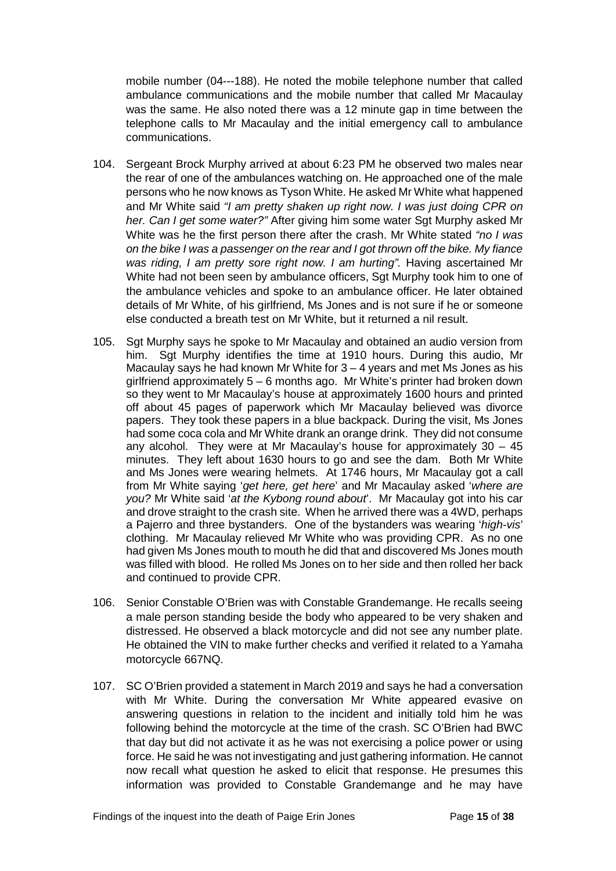mobile number (04---188). He noted the mobile telephone number that called ambulance communications and the mobile number that called Mr Macaulay was the same. He also noted there was a 12 minute gap in time between the telephone calls to Mr Macaulay and the initial emergency call to ambulance communications.

- 104. Sergeant Brock Murphy arrived at about 6:23 PM he observed two males near the rear of one of the ambulances watching on. He approached one of the male persons who he now knows as Tyson White. He asked Mr White what happened and Mr White said *"I am pretty shaken up right now. I was just doing CPR on her. Can I get some water?"* After giving him some water Sgt Murphy asked Mr White was he the first person there after the crash. Mr White stated *"no I was on the bike I was a passenger on the rear and I got thrown off the bike. My fiance was riding, I am pretty sore right now. I am hurting".* Having ascertained Mr White had not been seen by ambulance officers, Sgt Murphy took him to one of the ambulance vehicles and spoke to an ambulance officer. He later obtained details of Mr White, of his girlfriend, Ms Jones and is not sure if he or someone else conducted a breath test on Mr White, but it returned a nil result.
- 105. Sgt Murphy says he spoke to Mr Macaulay and obtained an audio version from him. Sgt Murphy identifies the time at 1910 hours. During this audio, Mr Macaulay says he had known Mr White for 3 – 4 years and met Ms Jones as his girlfriend approximately 5 – 6 months ago. Mr White's printer had broken down so they went to Mr Macaulay's house at approximately 1600 hours and printed off about 45 pages of paperwork which Mr Macaulay believed was divorce papers. They took these papers in a blue backpack. During the visit, Ms Jones had some coca cola and Mr White drank an orange drink. They did not consume any alcohol. They were at Mr Macaulay's house for approximately  $30 - 45$ minutes. They left about 1630 hours to go and see the dam. Both Mr White and Ms Jones were wearing helmets. At 1746 hours, Mr Macaulay got a call from Mr White saying '*get here, get here*' and Mr Macaulay asked '*where are you?* Mr White said '*at the Kybong round about*'. Mr Macaulay got into his car and drove straight to the crash site. When he arrived there was a 4WD, perhaps a Pajerro and three bystanders. One of the bystanders was wearing '*high-vis*' clothing. Mr Macaulay relieved Mr White who was providing CPR. As no one had given Ms Jones mouth to mouth he did that and discovered Ms Jones mouth was filled with blood. He rolled Ms Jones on to her side and then rolled her back and continued to provide CPR.
- 106. Senior Constable O'Brien was with Constable Grandemange. He recalls seeing a male person standing beside the body who appeared to be very shaken and distressed. He observed a black motorcycle and did not see any number plate. He obtained the VIN to make further checks and verified it related to a Yamaha motorcycle 667NQ.
- 107. SC O'Brien provided a statement in March 2019 and says he had a conversation with Mr White. During the conversation Mr White appeared evasive on answering questions in relation to the incident and initially told him he was following behind the motorcycle at the time of the crash. SC O'Brien had BWC that day but did not activate it as he was not exercising a police power or using force. He said he was not investigating and just gathering information. He cannot now recall what question he asked to elicit that response. He presumes this information was provided to Constable Grandemange and he may have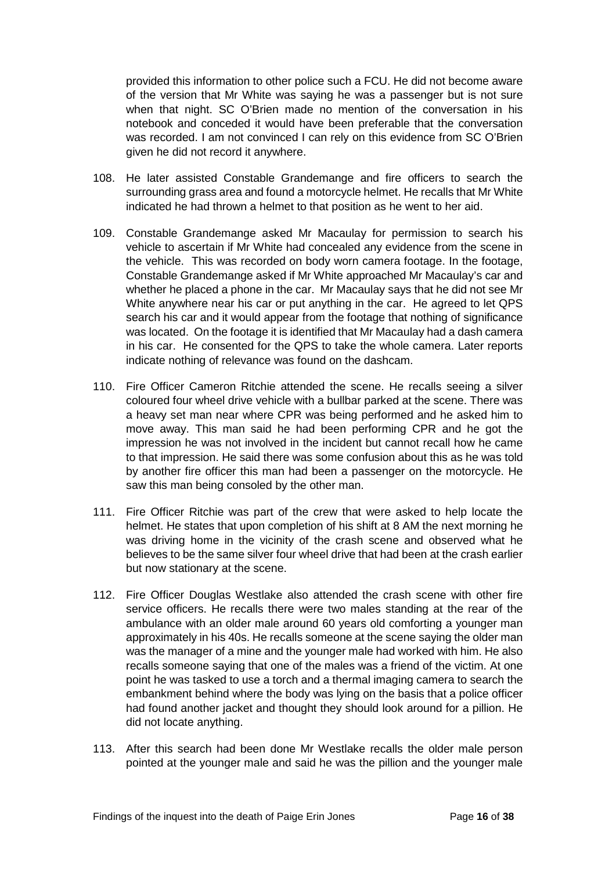provided this information to other police such a FCU. He did not become aware of the version that Mr White was saying he was a passenger but is not sure when that night. SC O'Brien made no mention of the conversation in his notebook and conceded it would have been preferable that the conversation was recorded. I am not convinced I can rely on this evidence from SC O'Brien given he did not record it anywhere.

- 108. He later assisted Constable Grandemange and fire officers to search the surrounding grass area and found a motorcycle helmet. He recalls that Mr White indicated he had thrown a helmet to that position as he went to her aid.
- 109. Constable Grandemange asked Mr Macaulay for permission to search his vehicle to ascertain if Mr White had concealed any evidence from the scene in the vehicle. This was recorded on body worn camera footage. In the footage, Constable Grandemange asked if Mr White approached Mr Macaulay's car and whether he placed a phone in the car. Mr Macaulay says that he did not see Mr White anywhere near his car or put anything in the car. He agreed to let QPS search his car and it would appear from the footage that nothing of significance was located. On the footage it is identified that Mr Macaulay had a dash camera in his car. He consented for the QPS to take the whole camera. Later reports indicate nothing of relevance was found on the dashcam.
- 110. Fire Officer Cameron Ritchie attended the scene. He recalls seeing a silver coloured four wheel drive vehicle with a bullbar parked at the scene. There was a heavy set man near where CPR was being performed and he asked him to move away. This man said he had been performing CPR and he got the impression he was not involved in the incident but cannot recall how he came to that impression. He said there was some confusion about this as he was told by another fire officer this man had been a passenger on the motorcycle. He saw this man being consoled by the other man.
- 111. Fire Officer Ritchie was part of the crew that were asked to help locate the helmet. He states that upon completion of his shift at 8 AM the next morning he was driving home in the vicinity of the crash scene and observed what he believes to be the same silver four wheel drive that had been at the crash earlier but now stationary at the scene.
- 112. Fire Officer Douglas Westlake also attended the crash scene with other fire service officers. He recalls there were two males standing at the rear of the ambulance with an older male around 60 years old comforting a younger man approximately in his 40s. He recalls someone at the scene saying the older man was the manager of a mine and the younger male had worked with him. He also recalls someone saying that one of the males was a friend of the victim. At one point he was tasked to use a torch and a thermal imaging camera to search the embankment behind where the body was lying on the basis that a police officer had found another jacket and thought they should look around for a pillion. He did not locate anything.
- 113. After this search had been done Mr Westlake recalls the older male person pointed at the younger male and said he was the pillion and the younger male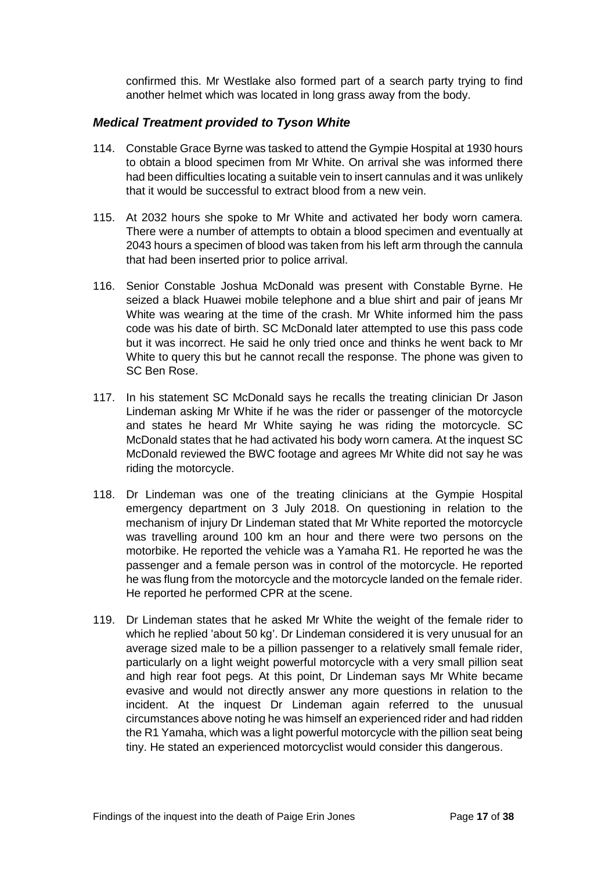confirmed this. Mr Westlake also formed part of a search party trying to find another helmet which was located in long grass away from the body.

#### <span id="page-18-0"></span>*Medical Treatment provided to Tyson White*

- 114. Constable Grace Byrne was tasked to attend the Gympie Hospital at 1930 hours to obtain a blood specimen from Mr White. On arrival she was informed there had been difficulties locating a suitable vein to insert cannulas and it was unlikely that it would be successful to extract blood from a new vein.
- 115. At 2032 hours she spoke to Mr White and activated her body worn camera. There were a number of attempts to obtain a blood specimen and eventually at 2043 hours a specimen of blood was taken from his left arm through the cannula that had been inserted prior to police arrival.
- 116. Senior Constable Joshua McDonald was present with Constable Byrne. He seized a black Huawei mobile telephone and a blue shirt and pair of jeans Mr White was wearing at the time of the crash. Mr White informed him the pass code was his date of birth. SC McDonald later attempted to use this pass code but it was incorrect. He said he only tried once and thinks he went back to Mr White to query this but he cannot recall the response. The phone was given to SC Ben Rose.
- 117. In his statement SC McDonald says he recalls the treating clinician Dr Jason Lindeman asking Mr White if he was the rider or passenger of the motorcycle and states he heard Mr White saying he was riding the motorcycle. SC McDonald states that he had activated his body worn camera. At the inquest SC McDonald reviewed the BWC footage and agrees Mr White did not say he was riding the motorcycle.
- 118. Dr Lindeman was one of the treating clinicians at the Gympie Hospital emergency department on 3 July 2018. On questioning in relation to the mechanism of injury Dr Lindeman stated that Mr White reported the motorcycle was travelling around 100 km an hour and there were two persons on the motorbike. He reported the vehicle was a Yamaha R1. He reported he was the passenger and a female person was in control of the motorcycle. He reported he was flung from the motorcycle and the motorcycle landed on the female rider. He reported he performed CPR at the scene.
- 119. Dr Lindeman states that he asked Mr White the weight of the female rider to which he replied 'about 50 kg'. Dr Lindeman considered it is very unusual for an average sized male to be a pillion passenger to a relatively small female rider, particularly on a light weight powerful motorcycle with a very small pillion seat and high rear foot pegs. At this point, Dr Lindeman says Mr White became evasive and would not directly answer any more questions in relation to the incident. At the inquest Dr Lindeman again referred to the unusual circumstances above noting he was himself an experienced rider and had ridden the R1 Yamaha, which was a light powerful motorcycle with the pillion seat being tiny. He stated an experienced motorcyclist would consider this dangerous.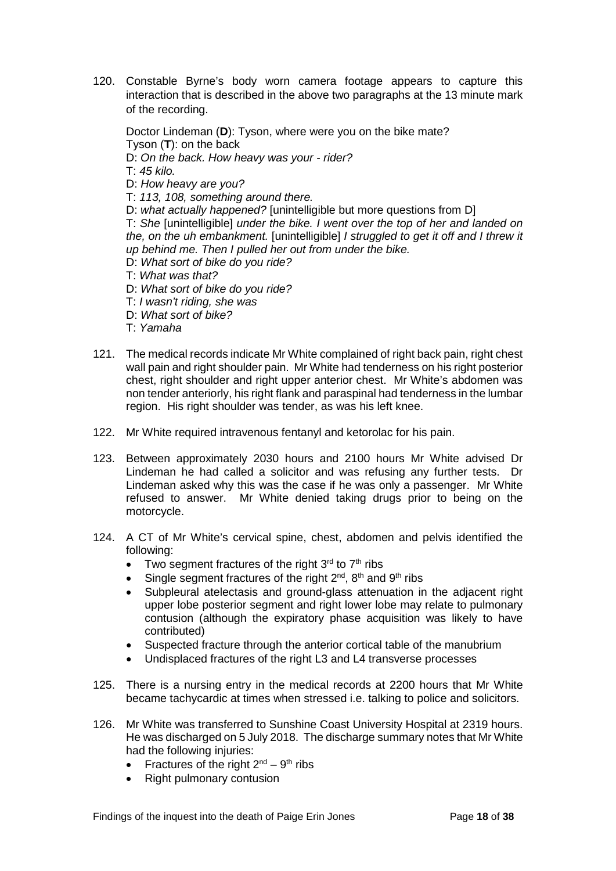120. Constable Byrne's body worn camera footage appears to capture this interaction that is described in the above two paragraphs at the 13 minute mark of the recording.

Doctor Lindeman (**D**): Tyson, where were you on the bike mate? Tyson (**T**): on the back

- D: *On the back. How heavy was your - rider?*
- T: *45 kilo.*
- D: *How heavy are you?*
- T: *113, 108, something around there.*
- D: *what actually happened?* [unintelligible but more questions from D]

T: *She* [unintelligible] *under the bike. I went over the top of her and landed on the, on the uh embankment.* [unintelligible] *I struggled to get it off and I threw it up behind me. Then I pulled her out from under the bike.*

- D: *What sort of bike do you ride?*
- T: *What was that?*
- D: *What sort of bike do you ride?*
- T: *I wasn't riding, she was*
- D: *What sort of bike?*
- T: *Yamaha*
- 121. The medical records indicate Mr White complained of right back pain, right chest wall pain and right shoulder pain. Mr White had tenderness on his right posterior chest, right shoulder and right upper anterior chest. Mr White's abdomen was non tender anteriorly, his right flank and paraspinal had tenderness in the lumbar region. His right shoulder was tender, as was his left knee.
- 122. Mr White required intravenous fentanyl and ketorolac for his pain.
- 123. Between approximately 2030 hours and 2100 hours Mr White advised Dr Lindeman he had called a solicitor and was refusing any further tests. Dr Lindeman asked why this was the case if he was only a passenger. Mr White refused to answer. Mr White denied taking drugs prior to being on the motorcycle.
- 124. A CT of Mr White's cervical spine, chest, abdomen and pelvis identified the following:
	- Two segment fractures of the right  $3<sup>rd</sup>$  to  $7<sup>th</sup>$  ribs
	- Single segment fractures of the right  $2<sup>nd</sup>$ ,  $8<sup>th</sup>$  and  $9<sup>th</sup>$  ribs
	- Subpleural atelectasis and ground-glass attenuation in the adiacent right upper lobe posterior segment and right lower lobe may relate to pulmonary contusion (although the expiratory phase acquisition was likely to have contributed)
	- Suspected fracture through the anterior cortical table of the manubrium
	- Undisplaced fractures of the right L3 and L4 transverse processes
- 125. There is a nursing entry in the medical records at 2200 hours that Mr White became tachycardic at times when stressed i.e. talking to police and solicitors.
- 126. Mr White was transferred to Sunshine Coast University Hospital at 2319 hours. He was discharged on 5 July 2018. The discharge summary notes that Mr White had the following injuries:
	- Fractures of the right  $2^{nd} 9^{th}$  ribs
	- Right pulmonary contusion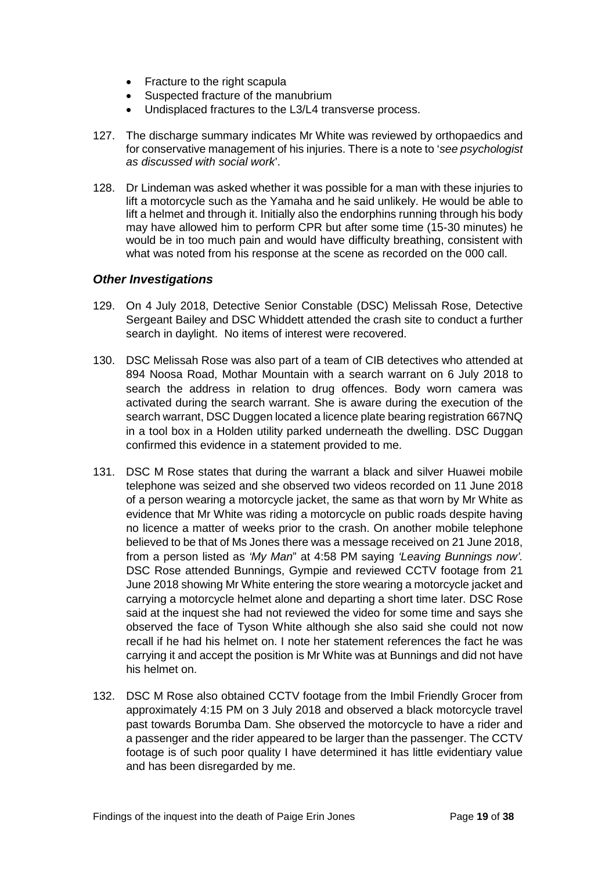- Fracture to the right scapula
- Suspected fracture of the manubrium
- Undisplaced fractures to the L3/L4 transverse process.
- 127. The discharge summary indicates Mr White was reviewed by orthopaedics and for conservative management of his injuries. There is a note to '*see psychologist as discussed with social work*'.
- 128. Dr Lindeman was asked whether it was possible for a man with these injuries to lift a motorcycle such as the Yamaha and he said unlikely. He would be able to lift a helmet and through it. Initially also the endorphins running through his body may have allowed him to perform CPR but after some time (15-30 minutes) he would be in too much pain and would have difficulty breathing, consistent with what was noted from his response at the scene as recorded on the 000 call.

#### <span id="page-20-0"></span>*Other Investigations*

- 129. On 4 July 2018, Detective Senior Constable (DSC) Melissah Rose, Detective Sergeant Bailey and DSC Whiddett attended the crash site to conduct a further search in daylight. No items of interest were recovered.
- 130. DSC Melissah Rose was also part of a team of CIB detectives who attended at 894 Noosa Road, Mothar Mountain with a search warrant on 6 July 2018 to search the address in relation to drug offences. Body worn camera was activated during the search warrant. She is aware during the execution of the search warrant, DSC Duggen located a licence plate bearing registration 667NQ in a tool box in a Holden utility parked underneath the dwelling. DSC Duggan confirmed this evidence in a statement provided to me.
- 131. DSC M Rose states that during the warrant a black and silver Huawei mobile telephone was seized and she observed two videos recorded on 11 June 2018 of a person wearing a motorcycle jacket, the same as that worn by Mr White as evidence that Mr White was riding a motorcycle on public roads despite having no licence a matter of weeks prior to the crash. On another mobile telephone believed to be that of Ms Jones there was a message received on 21 June 2018, from a person listed as *'My Man*" at 4:58 PM saying *'Leaving Bunnings now'.* DSC Rose attended Bunnings, Gympie and reviewed CCTV footage from 21 June 2018 showing Mr White entering the store wearing a motorcycle jacket and carrying a motorcycle helmet alone and departing a short time later. DSC Rose said at the inquest she had not reviewed the video for some time and says she observed the face of Tyson White although she also said she could not now recall if he had his helmet on. I note her statement references the fact he was carrying it and accept the position is Mr White was at Bunnings and did not have his helmet on.
- 132. DSC M Rose also obtained CCTV footage from the Imbil Friendly Grocer from approximately 4:15 PM on 3 July 2018 and observed a black motorcycle travel past towards Borumba Dam. She observed the motorcycle to have a rider and a passenger and the rider appeared to be larger than the passenger. The CCTV footage is of such poor quality I have determined it has little evidentiary value and has been disregarded by me.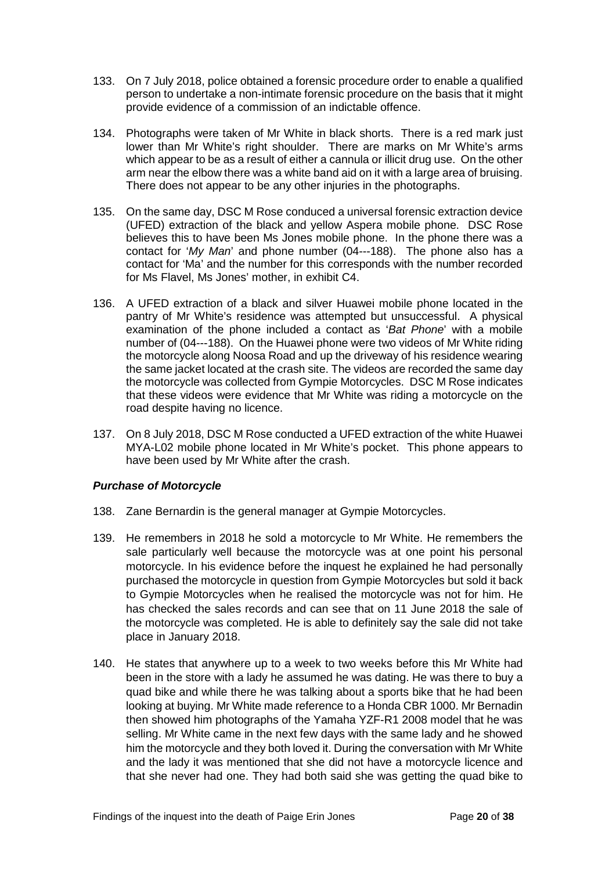- 133. On 7 July 2018, police obtained a forensic procedure order to enable a qualified person to undertake a non-intimate forensic procedure on the basis that it might provide evidence of a commission of an indictable offence.
- 134. Photographs were taken of Mr White in black shorts. There is a red mark just lower than Mr White's right shoulder. There are marks on Mr White's arms which appear to be as a result of either a cannula or illicit drug use. On the other arm near the elbow there was a white band aid on it with a large area of bruising. There does not appear to be any other injuries in the photographs.
- 135. On the same day, DSC M Rose conduced a universal forensic extraction device (UFED) extraction of the black and yellow Aspera mobile phone. DSC Rose believes this to have been Ms Jones mobile phone. In the phone there was a contact for '*My Man*' and phone number (04---188). The phone also has a contact for 'Ma' and the number for this corresponds with the number recorded for Ms Flavel, Ms Jones' mother, in exhibit C4.
- 136. A UFED extraction of a black and silver Huawei mobile phone located in the pantry of Mr White's residence was attempted but unsuccessful. A physical examination of the phone included a contact as '*Bat Phone*' with a mobile number of (04---188). On the Huawei phone were two videos of Mr White riding the motorcycle along Noosa Road and up the driveway of his residence wearing the same jacket located at the crash site. The videos are recorded the same day the motorcycle was collected from Gympie Motorcycles. DSC M Rose indicates that these videos were evidence that Mr White was riding a motorcycle on the road despite having no licence.
- 137. On 8 July 2018, DSC M Rose conducted a UFED extraction of the white Huawei MYA-L02 mobile phone located in Mr White's pocket. This phone appears to have been used by Mr White after the crash.

#### <span id="page-21-0"></span>*Purchase of Motorcycle*

- 138. Zane Bernardin is the general manager at Gympie Motorcycles.
- 139. He remembers in 2018 he sold a motorcycle to Mr White. He remembers the sale particularly well because the motorcycle was at one point his personal motorcycle. In his evidence before the inquest he explained he had personally purchased the motorcycle in question from Gympie Motorcycles but sold it back to Gympie Motorcycles when he realised the motorcycle was not for him. He has checked the sales records and can see that on 11 June 2018 the sale of the motorcycle was completed. He is able to definitely say the sale did not take place in January 2018.
- 140. He states that anywhere up to a week to two weeks before this Mr White had been in the store with a lady he assumed he was dating. He was there to buy a quad bike and while there he was talking about a sports bike that he had been looking at buying. Mr White made reference to a Honda CBR 1000. Mr Bernadin then showed him photographs of the Yamaha YZF-R1 2008 model that he was selling. Mr White came in the next few days with the same lady and he showed him the motorcycle and they both loved it. During the conversation with Mr White and the lady it was mentioned that she did not have a motorcycle licence and that she never had one. They had both said she was getting the quad bike to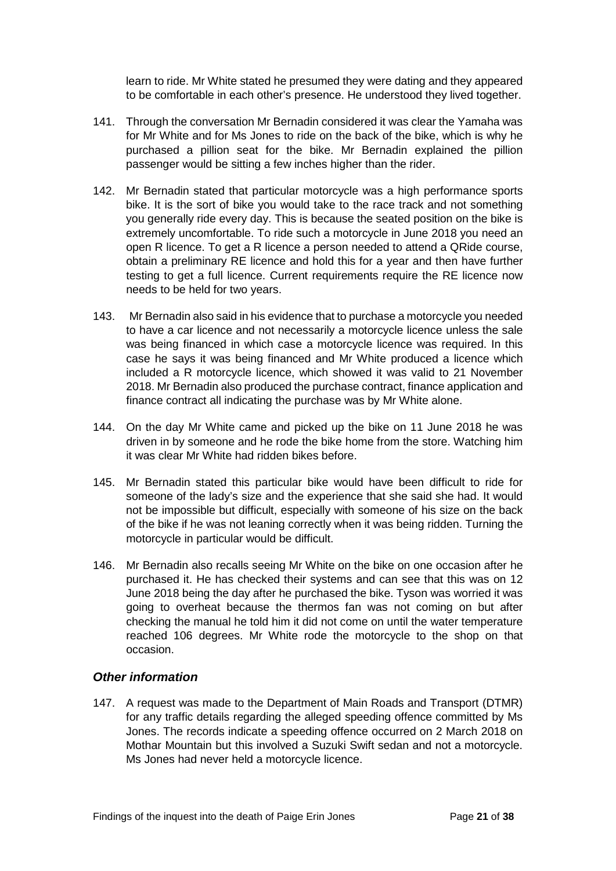learn to ride. Mr White stated he presumed they were dating and they appeared to be comfortable in each other's presence. He understood they lived together.

- 141. Through the conversation Mr Bernadin considered it was clear the Yamaha was for Mr White and for Ms Jones to ride on the back of the bike, which is why he purchased a pillion seat for the bike. Mr Bernadin explained the pillion passenger would be sitting a few inches higher than the rider.
- 142. Mr Bernadin stated that particular motorcycle was a high performance sports bike. It is the sort of bike you would take to the race track and not something you generally ride every day. This is because the seated position on the bike is extremely uncomfortable. To ride such a motorcycle in June 2018 you need an open R licence. To get a R licence a person needed to attend a QRide course, obtain a preliminary RE licence and hold this for a year and then have further testing to get a full licence. Current requirements require the RE licence now needs to be held for two years.
- 143. Mr Bernadin also said in his evidence that to purchase a motorcycle you needed to have a car licence and not necessarily a motorcycle licence unless the sale was being financed in which case a motorcycle licence was required. In this case he says it was being financed and Mr White produced a licence which included a R motorcycle licence, which showed it was valid to 21 November 2018. Mr Bernadin also produced the purchase contract, finance application and finance contract all indicating the purchase was by Mr White alone.
- 144. On the day Mr White came and picked up the bike on 11 June 2018 he was driven in by someone and he rode the bike home from the store. Watching him it was clear Mr White had ridden bikes before.
- 145. Mr Bernadin stated this particular bike would have been difficult to ride for someone of the lady's size and the experience that she said she had. It would not be impossible but difficult, especially with someone of his size on the back of the bike if he was not leaning correctly when it was being ridden. Turning the motorcycle in particular would be difficult.
- 146. Mr Bernadin also recalls seeing Mr White on the bike on one occasion after he purchased it. He has checked their systems and can see that this was on 12 June 2018 being the day after he purchased the bike. Tyson was worried it was going to overheat because the thermos fan was not coming on but after checking the manual he told him it did not come on until the water temperature reached 106 degrees. Mr White rode the motorcycle to the shop on that occasion.

#### <span id="page-22-0"></span>*Other information*

147. A request was made to the Department of Main Roads and Transport (DTMR) for any traffic details regarding the alleged speeding offence committed by Ms Jones. The records indicate a speeding offence occurred on 2 March 2018 on Mothar Mountain but this involved a Suzuki Swift sedan and not a motorcycle. Ms Jones had never held a motorcycle licence.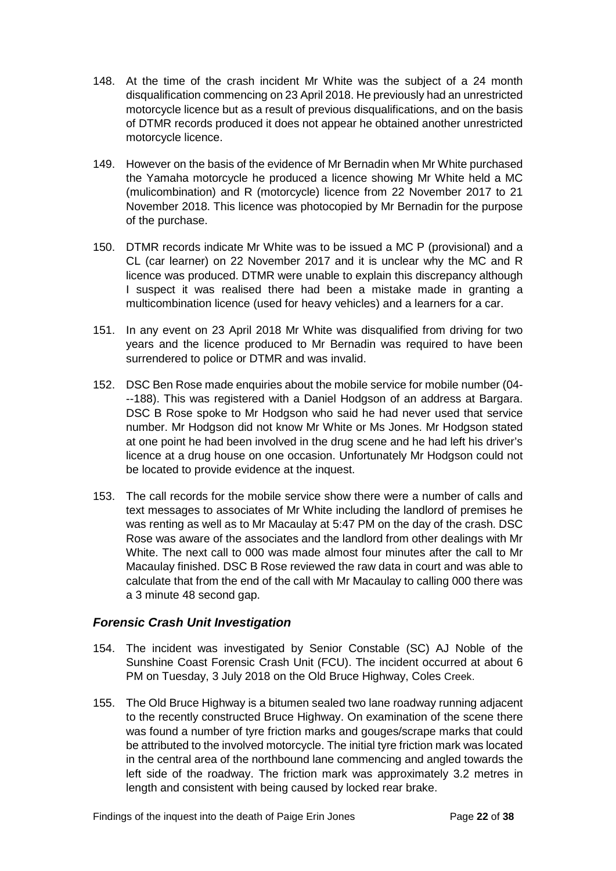- 148. At the time of the crash incident Mr White was the subject of a 24 month disqualification commencing on 23 April 2018. He previously had an unrestricted motorcycle licence but as a result of previous disqualifications, and on the basis of DTMR records produced it does not appear he obtained another unrestricted motorcycle licence.
- 149. However on the basis of the evidence of Mr Bernadin when Mr White purchased the Yamaha motorcycle he produced a licence showing Mr White held a MC (mulicombination) and R (motorcycle) licence from 22 November 2017 to 21 November 2018. This licence was photocopied by Mr Bernadin for the purpose of the purchase.
- 150. DTMR records indicate Mr White was to be issued a MC P (provisional) and a CL (car learner) on 22 November 2017 and it is unclear why the MC and R licence was produced. DTMR were unable to explain this discrepancy although I suspect it was realised there had been a mistake made in granting a multicombination licence (used for heavy vehicles) and a learners for a car.
- 151. In any event on 23 April 2018 Mr White was disqualified from driving for two years and the licence produced to Mr Bernadin was required to have been surrendered to police or DTMR and was invalid.
- 152. DSC Ben Rose made enquiries about the mobile service for mobile number (04- --188). This was registered with a Daniel Hodgson of an address at Bargara. DSC B Rose spoke to Mr Hodgson who said he had never used that service number. Mr Hodgson did not know Mr White or Ms Jones. Mr Hodgson stated at one point he had been involved in the drug scene and he had left his driver's licence at a drug house on one occasion. Unfortunately Mr Hodgson could not be located to provide evidence at the inquest.
- 153. The call records for the mobile service show there were a number of calls and text messages to associates of Mr White including the landlord of premises he was renting as well as to Mr Macaulay at 5:47 PM on the day of the crash. DSC Rose was aware of the associates and the landlord from other dealings with Mr White. The next call to 000 was made almost four minutes after the call to Mr Macaulay finished. DSC B Rose reviewed the raw data in court and was able to calculate that from the end of the call with Mr Macaulay to calling 000 there was a 3 minute 48 second gap.

#### <span id="page-23-0"></span>*Forensic Crash Unit Investigation*

- 154. The incident was investigated by Senior Constable (SC) AJ Noble of the Sunshine Coast Forensic Crash Unit (FCU). The incident occurred at about 6 PM on Tuesday, 3 July 2018 on the Old Bruce Highway, Coles Creek.
- 155. The Old Bruce Highway is a bitumen sealed two lane roadway running adjacent to the recently constructed Bruce Highway. On examination of the scene there was found a number of tyre friction marks and gouges/scrape marks that could be attributed to the involved motorcycle. The initial tyre friction mark was located in the central area of the northbound lane commencing and angled towards the left side of the roadway. The friction mark was approximately 3.2 metres in length and consistent with being caused by locked rear brake.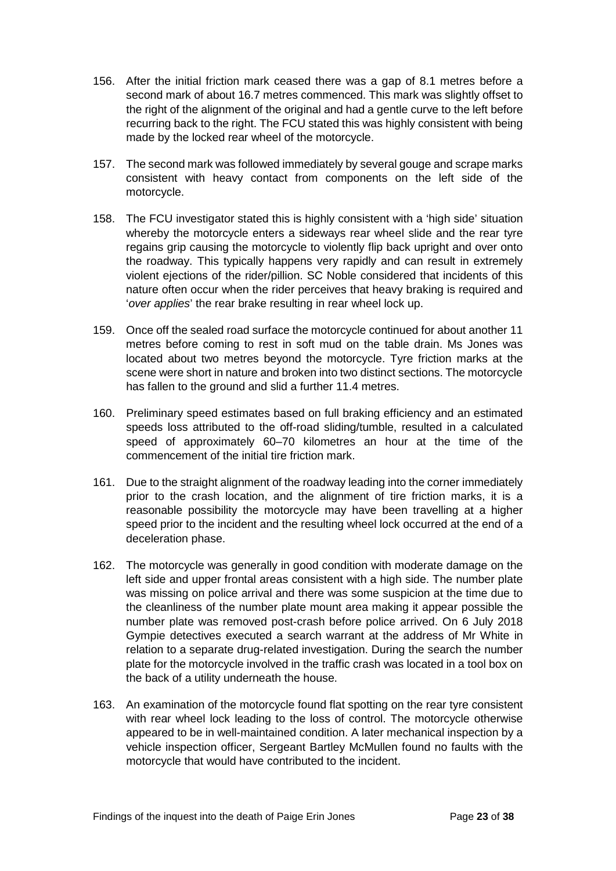- 156. After the initial friction mark ceased there was a gap of 8.1 metres before a second mark of about 16.7 metres commenced. This mark was slightly offset to the right of the alignment of the original and had a gentle curve to the left before recurring back to the right. The FCU stated this was highly consistent with being made by the locked rear wheel of the motorcycle.
- 157. The second mark was followed immediately by several gouge and scrape marks consistent with heavy contact from components on the left side of the motorcycle.
- 158. The FCU investigator stated this is highly consistent with a 'high side' situation whereby the motorcycle enters a sideways rear wheel slide and the rear tyre regains grip causing the motorcycle to violently flip back upright and over onto the roadway. This typically happens very rapidly and can result in extremely violent ejections of the rider/pillion. SC Noble considered that incidents of this nature often occur when the rider perceives that heavy braking is required and '*over applies*' the rear brake resulting in rear wheel lock up.
- 159. Once off the sealed road surface the motorcycle continued for about another 11 metres before coming to rest in soft mud on the table drain. Ms Jones was located about two metres beyond the motorcycle. Tyre friction marks at the scene were short in nature and broken into two distinct sections. The motorcycle has fallen to the ground and slid a further 11.4 metres.
- 160. Preliminary speed estimates based on full braking efficiency and an estimated speeds loss attributed to the off-road sliding/tumble, resulted in a calculated speed of approximately 60–70 kilometres an hour at the time of the commencement of the initial tire friction mark.
- 161. Due to the straight alignment of the roadway leading into the corner immediately prior to the crash location, and the alignment of tire friction marks, it is a reasonable possibility the motorcycle may have been travelling at a higher speed prior to the incident and the resulting wheel lock occurred at the end of a deceleration phase.
- 162. The motorcycle was generally in good condition with moderate damage on the left side and upper frontal areas consistent with a high side. The number plate was missing on police arrival and there was some suspicion at the time due to the cleanliness of the number plate mount area making it appear possible the number plate was removed post-crash before police arrived. On 6 July 2018 Gympie detectives executed a search warrant at the address of Mr White in relation to a separate drug-related investigation. During the search the number plate for the motorcycle involved in the traffic crash was located in a tool box on the back of a utility underneath the house.
- 163. An examination of the motorcycle found flat spotting on the rear tyre consistent with rear wheel lock leading to the loss of control. The motorcycle otherwise appeared to be in well-maintained condition. A later mechanical inspection by a vehicle inspection officer, Sergeant Bartley McMullen found no faults with the motorcycle that would have contributed to the incident.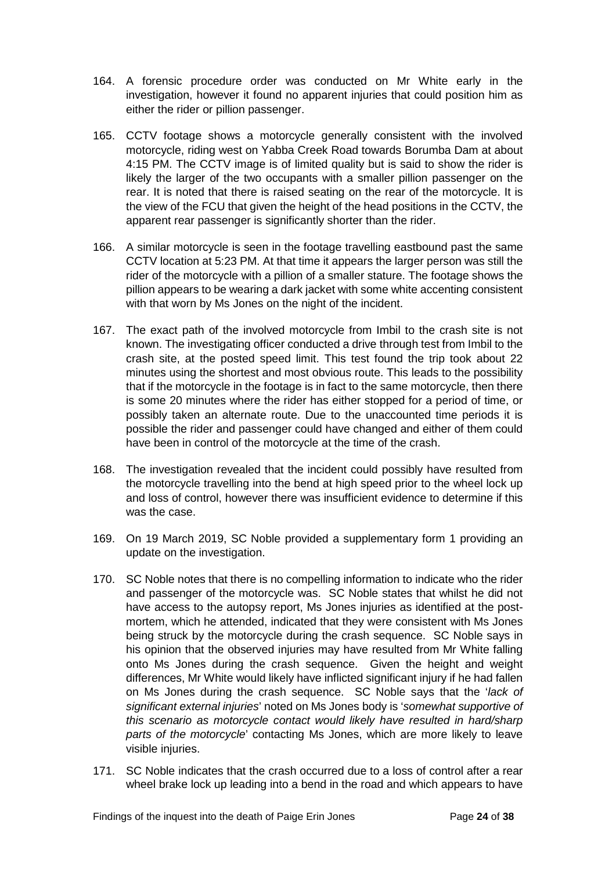- 164. A forensic procedure order was conducted on Mr White early in the investigation, however it found no apparent injuries that could position him as either the rider or pillion passenger.
- 165. CCTV footage shows a motorcycle generally consistent with the involved motorcycle, riding west on Yabba Creek Road towards Borumba Dam at about 4:15 PM. The CCTV image is of limited quality but is said to show the rider is likely the larger of the two occupants with a smaller pillion passenger on the rear. It is noted that there is raised seating on the rear of the motorcycle. It is the view of the FCU that given the height of the head positions in the CCTV, the apparent rear passenger is significantly shorter than the rider.
- 166. A similar motorcycle is seen in the footage travelling eastbound past the same CCTV location at 5:23 PM. At that time it appears the larger person was still the rider of the motorcycle with a pillion of a smaller stature. The footage shows the pillion appears to be wearing a dark jacket with some white accenting consistent with that worn by Ms Jones on the night of the incident.
- 167. The exact path of the involved motorcycle from Imbil to the crash site is not known. The investigating officer conducted a drive through test from Imbil to the crash site, at the posted speed limit. This test found the trip took about 22 minutes using the shortest and most obvious route. This leads to the possibility that if the motorcycle in the footage is in fact to the same motorcycle, then there is some 20 minutes where the rider has either stopped for a period of time, or possibly taken an alternate route. Due to the unaccounted time periods it is possible the rider and passenger could have changed and either of them could have been in control of the motorcycle at the time of the crash.
- 168. The investigation revealed that the incident could possibly have resulted from the motorcycle travelling into the bend at high speed prior to the wheel lock up and loss of control, however there was insufficient evidence to determine if this was the case.
- 169. On 19 March 2019, SC Noble provided a supplementary form 1 providing an update on the investigation.
- 170. SC Noble notes that there is no compelling information to indicate who the rider and passenger of the motorcycle was. SC Noble states that whilst he did not have access to the autopsy report, Ms Jones injuries as identified at the postmortem, which he attended, indicated that they were consistent with Ms Jones being struck by the motorcycle during the crash sequence. SC Noble says in his opinion that the observed injuries may have resulted from Mr White falling onto Ms Jones during the crash sequence. Given the height and weight differences, Mr White would likely have inflicted significant injury if he had fallen on Ms Jones during the crash sequence. SC Noble says that the '*lack of significant external injuries*' noted on Ms Jones body is '*somewhat supportive of this scenario as motorcycle contact would likely have resulted in hard/sharp parts of the motorcycle*' contacting Ms Jones, which are more likely to leave visible injuries.
- 171. SC Noble indicates that the crash occurred due to a loss of control after a rear wheel brake lock up leading into a bend in the road and which appears to have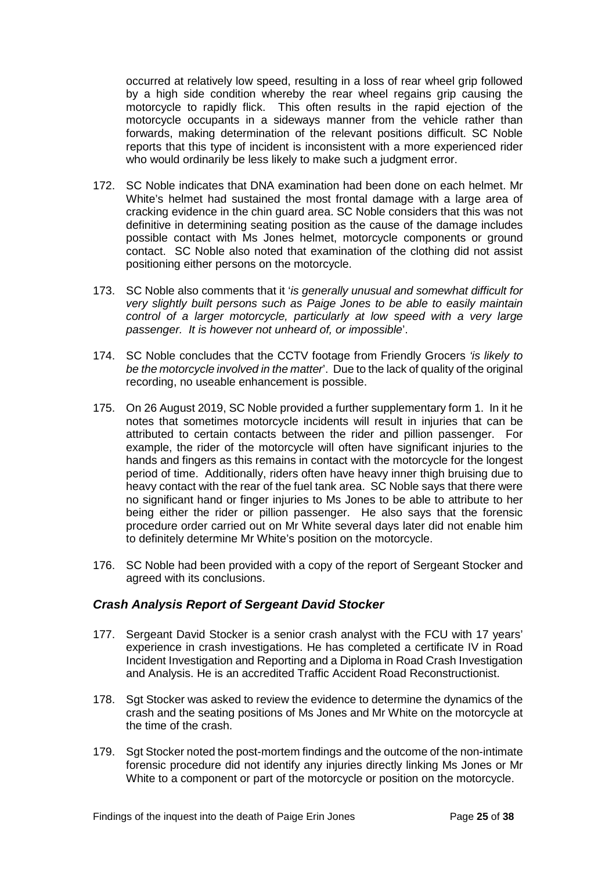occurred at relatively low speed, resulting in a loss of rear wheel grip followed by a high side condition whereby the rear wheel regains grip causing the motorcycle to rapidly flick. This often results in the rapid ejection of the motorcycle occupants in a sideways manner from the vehicle rather than forwards, making determination of the relevant positions difficult. SC Noble reports that this type of incident is inconsistent with a more experienced rider who would ordinarily be less likely to make such a judgment error.

- 172. SC Noble indicates that DNA examination had been done on each helmet. Mr White's helmet had sustained the most frontal damage with a large area of cracking evidence in the chin guard area. SC Noble considers that this was not definitive in determining seating position as the cause of the damage includes possible contact with Ms Jones helmet, motorcycle components or ground contact. SC Noble also noted that examination of the clothing did not assist positioning either persons on the motorcycle.
- 173. SC Noble also comments that it '*is generally unusual and somewhat difficult for very slightly built persons such as Paige Jones to be able to easily maintain control of a larger motorcycle, particularly at low speed with a very large passenger. It is however not unheard of, or impossible*'.
- 174. SC Noble concludes that the CCTV footage from Friendly Grocers *'is likely to be the motorcycle involved in the matter*'. Due to the lack of quality of the original recording, no useable enhancement is possible.
- 175. On 26 August 2019, SC Noble provided a further supplementary form 1. In it he notes that sometimes motorcycle incidents will result in injuries that can be attributed to certain contacts between the rider and pillion passenger. For example, the rider of the motorcycle will often have significant injuries to the hands and fingers as this remains in contact with the motorcycle for the longest period of time. Additionally, riders often have heavy inner thigh bruising due to heavy contact with the rear of the fuel tank area. SC Noble says that there were no significant hand or finger injuries to Ms Jones to be able to attribute to her being either the rider or pillion passenger. He also says that the forensic procedure order carried out on Mr White several days later did not enable him to definitely determine Mr White's position on the motorcycle.
- 176. SC Noble had been provided with a copy of the report of Sergeant Stocker and agreed with its conclusions.

#### <span id="page-26-0"></span>*Crash Analysis Report of Sergeant David Stocker*

- 177. Sergeant David Stocker is a senior crash analyst with the FCU with 17 years' experience in crash investigations. He has completed a certificate IV in Road Incident Investigation and Reporting and a Diploma in Road Crash Investigation and Analysis. He is an accredited Traffic Accident Road Reconstructionist.
- 178. Sgt Stocker was asked to review the evidence to determine the dynamics of the crash and the seating positions of Ms Jones and Mr White on the motorcycle at the time of the crash.
- 179. Sgt Stocker noted the post-mortem findings and the outcome of the non-intimate forensic procedure did not identify any injuries directly linking Ms Jones or Mr White to a component or part of the motorcycle or position on the motorcycle.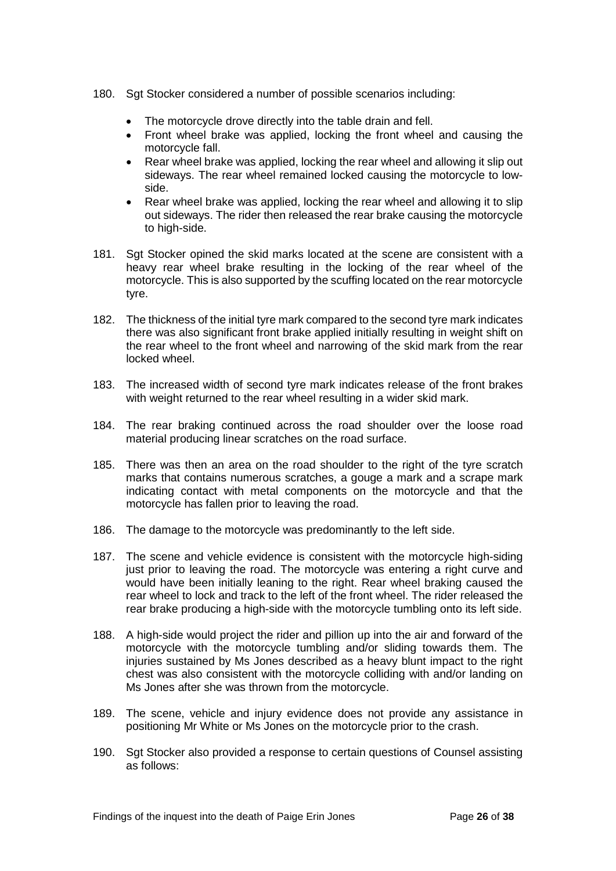- 180. Sgt Stocker considered a number of possible scenarios including:
	- The motorcycle drove directly into the table drain and fell.
	- Front wheel brake was applied, locking the front wheel and causing the motorcycle fall.
	- Rear wheel brake was applied, locking the rear wheel and allowing it slip out sideways. The rear wheel remained locked causing the motorcycle to lowside.
	- Rear wheel brake was applied, locking the rear wheel and allowing it to slip out sideways. The rider then released the rear brake causing the motorcycle to high-side.
- 181. Sgt Stocker opined the skid marks located at the scene are consistent with a heavy rear wheel brake resulting in the locking of the rear wheel of the motorcycle. This is also supported by the scuffing located on the rear motorcycle tyre.
- 182. The thickness of the initial tyre mark compared to the second tyre mark indicates there was also significant front brake applied initially resulting in weight shift on the rear wheel to the front wheel and narrowing of the skid mark from the rear locked wheel.
- 183. The increased width of second tyre mark indicates release of the front brakes with weight returned to the rear wheel resulting in a wider skid mark.
- 184. The rear braking continued across the road shoulder over the loose road material producing linear scratches on the road surface.
- 185. There was then an area on the road shoulder to the right of the tyre scratch marks that contains numerous scratches, a gouge a mark and a scrape mark indicating contact with metal components on the motorcycle and that the motorcycle has fallen prior to leaving the road.
- 186. The damage to the motorcycle was predominantly to the left side.
- 187. The scene and vehicle evidence is consistent with the motorcycle high-siding just prior to leaving the road. The motorcycle was entering a right curve and would have been initially leaning to the right. Rear wheel braking caused the rear wheel to lock and track to the left of the front wheel. The rider released the rear brake producing a high-side with the motorcycle tumbling onto its left side.
- 188. A high-side would project the rider and pillion up into the air and forward of the motorcycle with the motorcycle tumbling and/or sliding towards them. The injuries sustained by Ms Jones described as a heavy blunt impact to the right chest was also consistent with the motorcycle colliding with and/or landing on Ms Jones after she was thrown from the motorcycle.
- 189. The scene, vehicle and injury evidence does not provide any assistance in positioning Mr White or Ms Jones on the motorcycle prior to the crash.
- 190. Sgt Stocker also provided a response to certain questions of Counsel assisting as follows: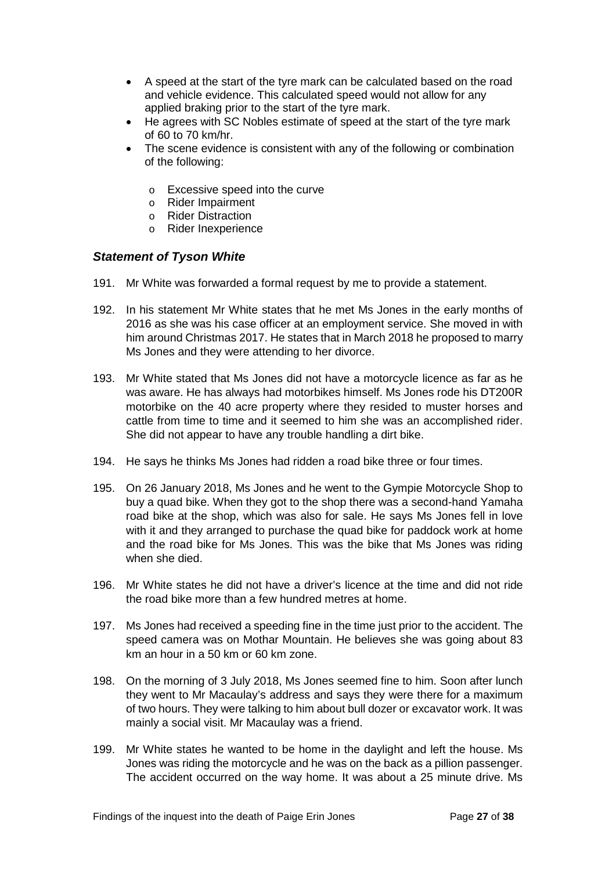- A speed at the start of the tyre mark can be calculated based on the road and vehicle evidence. This calculated speed would not allow for any applied braking prior to the start of the tyre mark.
- He agrees with SC Nobles estimate of speed at the start of the tyre mark of 60 to 70 km/hr.
- The scene evidence is consistent with any of the following or combination of the following:
	- o Excessive speed into the curve
	- o Rider Impairment
	- o Rider Distraction
	- o Rider Inexperience

#### <span id="page-28-0"></span>*Statement of Tyson White*

- 191. Mr White was forwarded a formal request by me to provide a statement.
- 192. In his statement Mr White states that he met Ms Jones in the early months of 2016 as she was his case officer at an employment service. She moved in with him around Christmas 2017. He states that in March 2018 he proposed to marry Ms Jones and they were attending to her divorce.
- 193. Mr White stated that Ms Jones did not have a motorcycle licence as far as he was aware. He has always had motorbikes himself. Ms Jones rode his DT200R motorbike on the 40 acre property where they resided to muster horses and cattle from time to time and it seemed to him she was an accomplished rider. She did not appear to have any trouble handling a dirt bike.
- 194. He says he thinks Ms Jones had ridden a road bike three or four times.
- 195. On 26 January 2018, Ms Jones and he went to the Gympie Motorcycle Shop to buy a quad bike. When they got to the shop there was a second-hand Yamaha road bike at the shop, which was also for sale. He says Ms Jones fell in love with it and they arranged to purchase the quad bike for paddock work at home and the road bike for Ms Jones. This was the bike that Ms Jones was riding when she died.
- 196. Mr White states he did not have a driver's licence at the time and did not ride the road bike more than a few hundred metres at home.
- 197. Ms Jones had received a speeding fine in the time just prior to the accident. The speed camera was on Mothar Mountain. He believes she was going about 83 km an hour in a 50 km or 60 km zone.
- 198. On the morning of 3 July 2018, Ms Jones seemed fine to him. Soon after lunch they went to Mr Macaulay's address and says they were there for a maximum of two hours. They were talking to him about bull dozer or excavator work. It was mainly a social visit. Mr Macaulay was a friend.
- 199. Mr White states he wanted to be home in the daylight and left the house. Ms Jones was riding the motorcycle and he was on the back as a pillion passenger. The accident occurred on the way home. It was about a 25 minute drive. Ms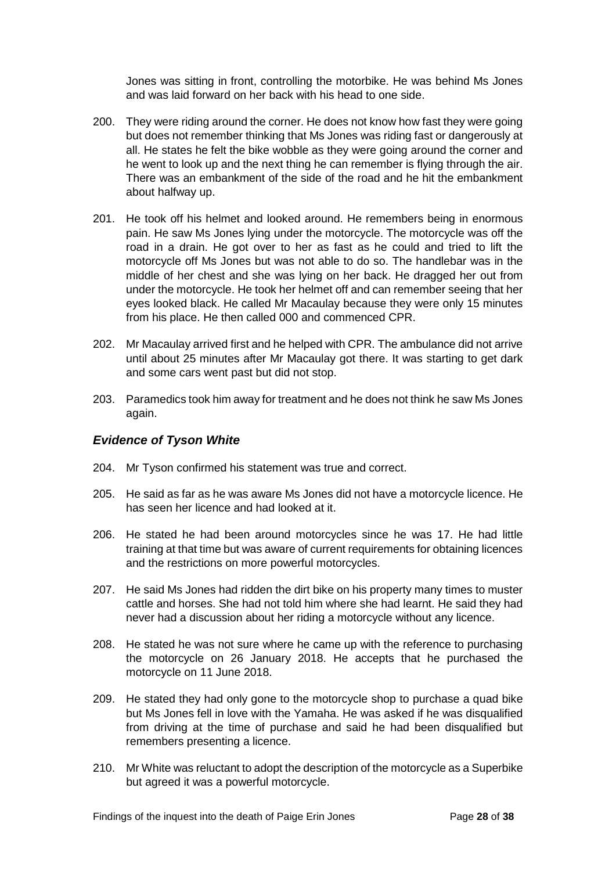Jones was sitting in front, controlling the motorbike. He was behind Ms Jones and was laid forward on her back with his head to one side.

- 200. They were riding around the corner. He does not know how fast they were going but does not remember thinking that Ms Jones was riding fast or dangerously at all. He states he felt the bike wobble as they were going around the corner and he went to look up and the next thing he can remember is flying through the air. There was an embankment of the side of the road and he hit the embankment about halfway up.
- 201. He took off his helmet and looked around. He remembers being in enormous pain. He saw Ms Jones lying under the motorcycle. The motorcycle was off the road in a drain. He got over to her as fast as he could and tried to lift the motorcycle off Ms Jones but was not able to do so. The handlebar was in the middle of her chest and she was lying on her back. He dragged her out from under the motorcycle. He took her helmet off and can remember seeing that her eyes looked black. He called Mr Macaulay because they were only 15 minutes from his place. He then called 000 and commenced CPR.
- 202. Mr Macaulay arrived first and he helped with CPR. The ambulance did not arrive until about 25 minutes after Mr Macaulay got there. It was starting to get dark and some cars went past but did not stop.
- 203. Paramedics took him away for treatment and he does not think he saw Ms Jones again.

#### <span id="page-29-0"></span>*Evidence of Tyson White*

- 204. Mr Tyson confirmed his statement was true and correct.
- 205. He said as far as he was aware Ms Jones did not have a motorcycle licence. He has seen her licence and had looked at it.
- 206. He stated he had been around motorcycles since he was 17. He had little training at that time but was aware of current requirements for obtaining licences and the restrictions on more powerful motorcycles.
- 207. He said Ms Jones had ridden the dirt bike on his property many times to muster cattle and horses. She had not told him where she had learnt. He said they had never had a discussion about her riding a motorcycle without any licence.
- 208. He stated he was not sure where he came up with the reference to purchasing the motorcycle on 26 January 2018. He accepts that he purchased the motorcycle on 11 June 2018.
- 209. He stated they had only gone to the motorcycle shop to purchase a quad bike but Ms Jones fell in love with the Yamaha. He was asked if he was disqualified from driving at the time of purchase and said he had been disqualified but remembers presenting a licence.
- 210. Mr White was reluctant to adopt the description of the motorcycle as a Superbike but agreed it was a powerful motorcycle.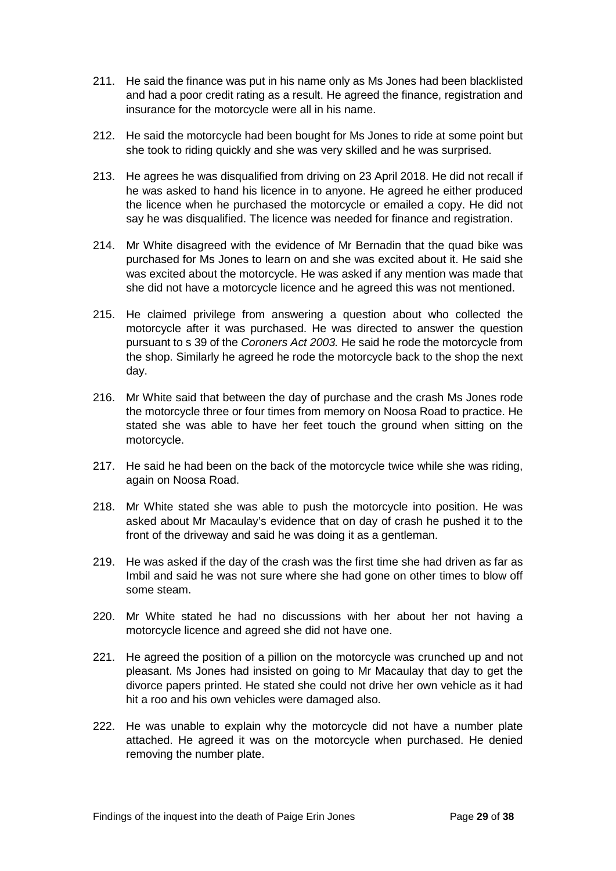- 211. He said the finance was put in his name only as Ms Jones had been blacklisted and had a poor credit rating as a result. He agreed the finance, registration and insurance for the motorcycle were all in his name.
- 212. He said the motorcycle had been bought for Ms Jones to ride at some point but she took to riding quickly and she was very skilled and he was surprised.
- 213. He agrees he was disqualified from driving on 23 April 2018. He did not recall if he was asked to hand his licence in to anyone. He agreed he either produced the licence when he purchased the motorcycle or emailed a copy. He did not say he was disqualified. The licence was needed for finance and registration.
- 214. Mr White disagreed with the evidence of Mr Bernadin that the quad bike was purchased for Ms Jones to learn on and she was excited about it. He said she was excited about the motorcycle. He was asked if any mention was made that she did not have a motorcycle licence and he agreed this was not mentioned.
- 215. He claimed privilege from answering a question about who collected the motorcycle after it was purchased. He was directed to answer the question pursuant to s 39 of the *Coroners Act 2003.* He said he rode the motorcycle from the shop. Similarly he agreed he rode the motorcycle back to the shop the next day.
- 216. Mr White said that between the day of purchase and the crash Ms Jones rode the motorcycle three or four times from memory on Noosa Road to practice. He stated she was able to have her feet touch the ground when sitting on the motorcycle.
- 217. He said he had been on the back of the motorcycle twice while she was riding, again on Noosa Road.
- 218. Mr White stated she was able to push the motorcycle into position. He was asked about Mr Macaulay's evidence that on day of crash he pushed it to the front of the driveway and said he was doing it as a gentleman.
- 219. He was asked if the day of the crash was the first time she had driven as far as Imbil and said he was not sure where she had gone on other times to blow off some steam.
- 220. Mr White stated he had no discussions with her about her not having a motorcycle licence and agreed she did not have one.
- 221. He agreed the position of a pillion on the motorcycle was crunched up and not pleasant. Ms Jones had insisted on going to Mr Macaulay that day to get the divorce papers printed. He stated she could not drive her own vehicle as it had hit a roo and his own vehicles were damaged also.
- 222. He was unable to explain why the motorcycle did not have a number plate attached. He agreed it was on the motorcycle when purchased. He denied removing the number plate.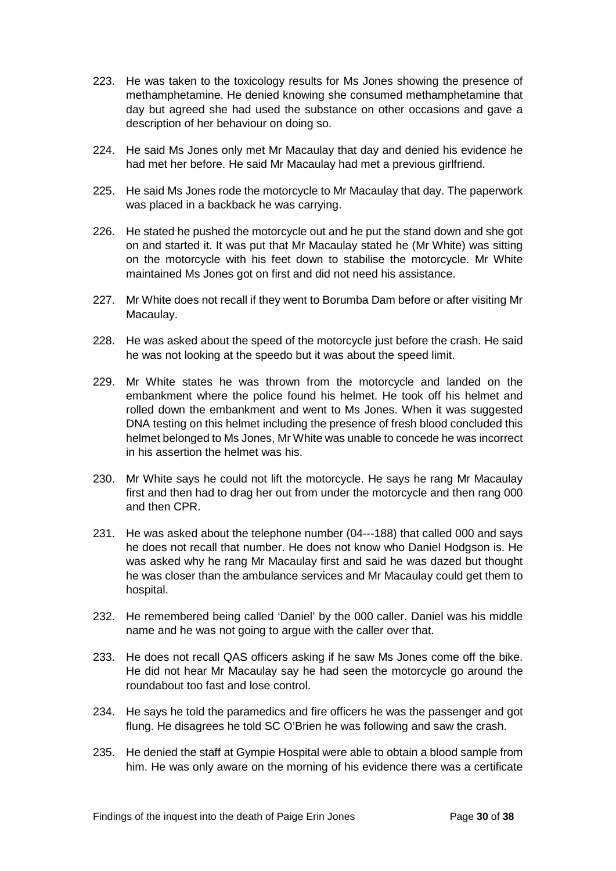- 223. He was taken to the toxicology results for Ms Jones showing the presence of methamphetamine. He denied knowing she consumed methamphetamine that day but agreed she had used the substance on other occasions and gave a description of her behaviour on doing so.
- 224. He said Ms Jones only met Mr Macaulay that day and denied his evidence he had met her before. He said Mr Macaulay had met a previous girlfriend.
- 225. He said Ms Jones rode the motorcycle to Mr Macaulay that day. The paperwork was placed in a backback he was carrying.
- 226. He stated he pushed the motorcycle out and he put the stand down and she got on and started it. It was put that Mr Macaulay stated he (Mr White) was sitting on the motorcycle with his feet down to stabilise the motorcycle. Mr White maintained Ms Jones got on first and did not need his assistance.
- 227. Mr White does not recall if they went to Borumba Dam before or after visiting Mr Macaulay.
- 228. He was asked about the speed of the motorcycle just before the crash. He said he was not looking at the speedo but it was about the speed limit.
- 229. Mr White states he was thrown from the motorcycle and landed on the embankment where the police found his helmet. He took off his helmet and rolled down the embankment and went to Ms Jones. When it was suggested DNA testing on this helmet including the presence of fresh blood concluded this helmet belonged to Ms Jones, Mr White was unable to concede he was incorrect in his assertion the helmet was his.
- 230. Mr White says he could not lift the motorcycle. He says he rang Mr Macaulay first and then had to drag her out from under the motorcycle and then rang 000 and then CPR.
- 231. He was asked about the telephone number (04---188) that called 000 and says he does not recall that number. He does not know who Daniel Hodgson is. He was asked why he rang Mr Macaulay first and said he was dazed but thought he was closer than the ambulance services and Mr Macaulay could get them to hospital.
- 232. He remembered being called 'Daniel' by the 000 caller. Daniel was his middle name and he was not going to argue with the caller over that.
- 233. He does not recall QAS officers asking if he saw Ms Jones come off the bike. He did not hear Mr Macaulay say he had seen the motorcycle go around the roundabout too fast and lose control.
- 234. He says he told the paramedics and fire officers he was the passenger and got flung. He disagrees he told SC O'Brien he was following and saw the crash.
- 235. He denied the staff at Gympie Hospital were able to obtain a blood sample from him. He was only aware on the morning of his evidence there was a certificate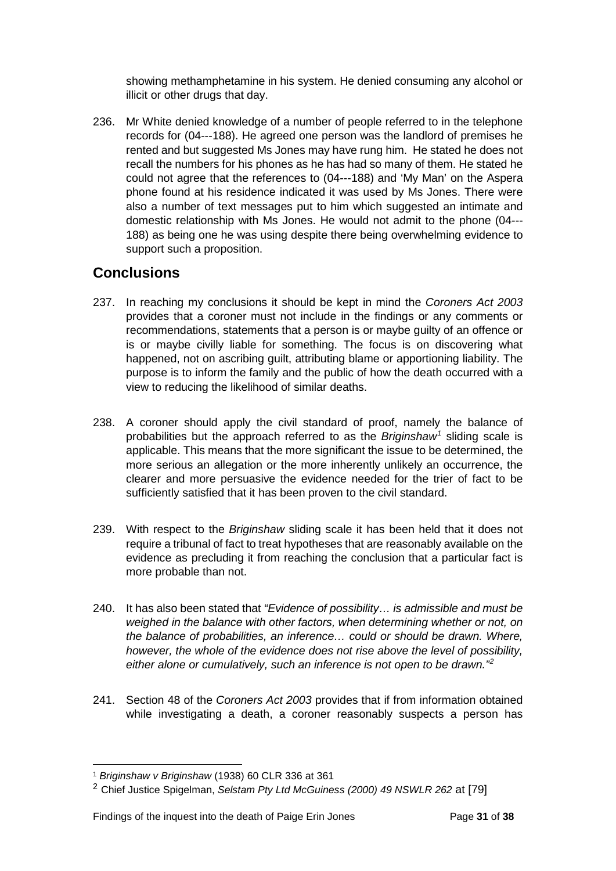showing methamphetamine in his system. He denied consuming any alcohol or illicit or other drugs that day.

236. Mr White denied knowledge of a number of people referred to in the telephone records for (04---188). He agreed one person was the landlord of premises he rented and but suggested Ms Jones may have rung him. He stated he does not recall the numbers for his phones as he has had so many of them. He stated he could not agree that the references to (04---188) and 'My Man' on the Aspera phone found at his residence indicated it was used by Ms Jones. There were also a number of text messages put to him which suggested an intimate and domestic relationship with Ms Jones. He would not admit to the phone (04--- 188) as being one he was using despite there being overwhelming evidence to support such a proposition.

## <span id="page-32-0"></span>**Conclusions**

- 237. In reaching my conclusions it should be kept in mind the *Coroners Act 2003*  provides that a coroner must not include in the findings or any comments or recommendations, statements that a person is or maybe guilty of an offence or is or maybe civilly liable for something. The focus is on discovering what happened, not on ascribing guilt, attributing blame or apportioning liability. The purpose is to inform the family and the public of how the death occurred with a view to reducing the likelihood of similar deaths.
- 238. A coroner should apply the civil standard of proof, namely the balance of probabilities but the approach referred to as the *Briginshaw[1](#page-32-1)* sliding scale is applicable. This means that the more significant the issue to be determined, the more serious an allegation or the more inherently unlikely an occurrence, the clearer and more persuasive the evidence needed for the trier of fact to be sufficiently satisfied that it has been proven to the civil standard.
- 239. With respect to the *Briginshaw* sliding scale it has been held that it does not require a tribunal of fact to treat hypotheses that are reasonably available on the evidence as precluding it from reaching the conclusion that a particular fact is more probable than not.
- 240. It has also been stated that *"Evidence of possibility… is admissible and must be weighed in the balance with other factors, when determining whether or not, on the balance of probabilities, an inference… could or should be drawn. Where, however, the whole of the evidence does not rise above the level of possibility, either alone or cumulatively, such an inference is not open to be drawn."[2](#page-32-2)*
- 241. Section 48 of the *Coroners Act 2003* provides that if from information obtained while investigating a death, a coroner reasonably suspects a person has

<sup>1</sup> *Briginshaw v Briginshaw* (1938) 60 CLR 336 at 361  $\overline{a}$ 

<span id="page-32-2"></span><span id="page-32-1"></span><sup>2</sup> Chief Justice Spigelman, *Selstam Pty Ltd McGuiness (2000) 49 NSWLR 262* at [79]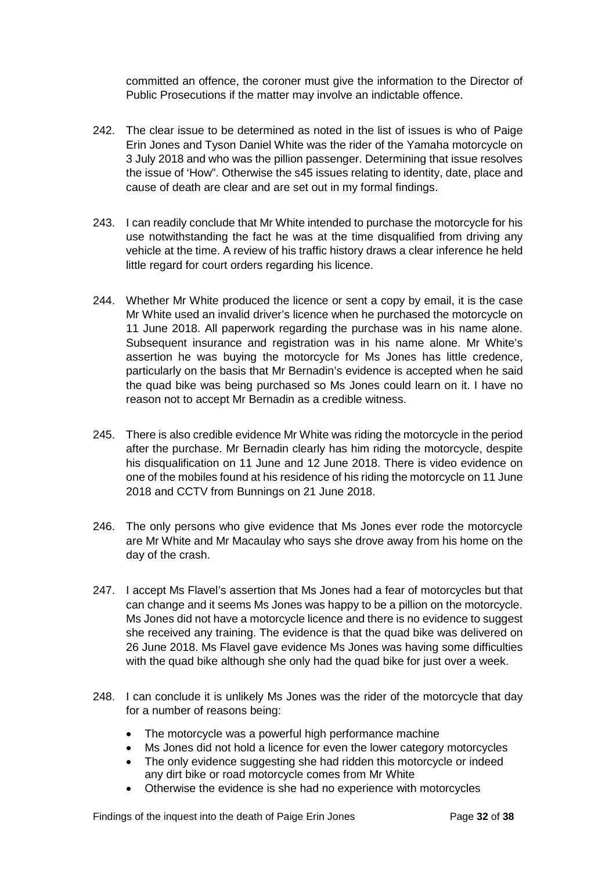committed an offence, the coroner must give the information to the Director of Public Prosecutions if the matter may involve an indictable offence.

- 242. The clear issue to be determined as noted in the list of issues is who of Paige Erin Jones and Tyson Daniel White was the rider of the Yamaha motorcycle on 3 July 2018 and who was the pillion passenger. Determining that issue resolves the issue of 'How". Otherwise the s45 issues relating to identity, date, place and cause of death are clear and are set out in my formal findings.
- 243. I can readily conclude that Mr White intended to purchase the motorcycle for his use notwithstanding the fact he was at the time disqualified from driving any vehicle at the time. A review of his traffic history draws a clear inference he held little regard for court orders regarding his licence.
- 244. Whether Mr White produced the licence or sent a copy by email, it is the case Mr White used an invalid driver's licence when he purchased the motorcycle on 11 June 2018. All paperwork regarding the purchase was in his name alone. Subsequent insurance and registration was in his name alone. Mr White's assertion he was buying the motorcycle for Ms Jones has little credence, particularly on the basis that Mr Bernadin's evidence is accepted when he said the quad bike was being purchased so Ms Jones could learn on it. I have no reason not to accept Mr Bernadin as a credible witness.
- 245. There is also credible evidence Mr White was riding the motorcycle in the period after the purchase. Mr Bernadin clearly has him riding the motorcycle, despite his disqualification on 11 June and 12 June 2018. There is video evidence on one of the mobiles found at his residence of his riding the motorcycle on 11 June 2018 and CCTV from Bunnings on 21 June 2018.
- 246. The only persons who give evidence that Ms Jones ever rode the motorcycle are Mr White and Mr Macaulay who says she drove away from his home on the day of the crash.
- 247. I accept Ms Flavel's assertion that Ms Jones had a fear of motorcycles but that can change and it seems Ms Jones was happy to be a pillion on the motorcycle. Ms Jones did not have a motorcycle licence and there is no evidence to suggest she received any training. The evidence is that the quad bike was delivered on 26 June 2018. Ms Flavel gave evidence Ms Jones was having some difficulties with the quad bike although she only had the quad bike for just over a week.
- 248. I can conclude it is unlikely Ms Jones was the rider of the motorcycle that day for a number of reasons being:
	- The motorcycle was a powerful high performance machine
	- Ms Jones did not hold a licence for even the lower category motorcycles
	- The only evidence suggesting she had ridden this motorcycle or indeed any dirt bike or road motorcycle comes from Mr White
	- Otherwise the evidence is she had no experience with motorcycles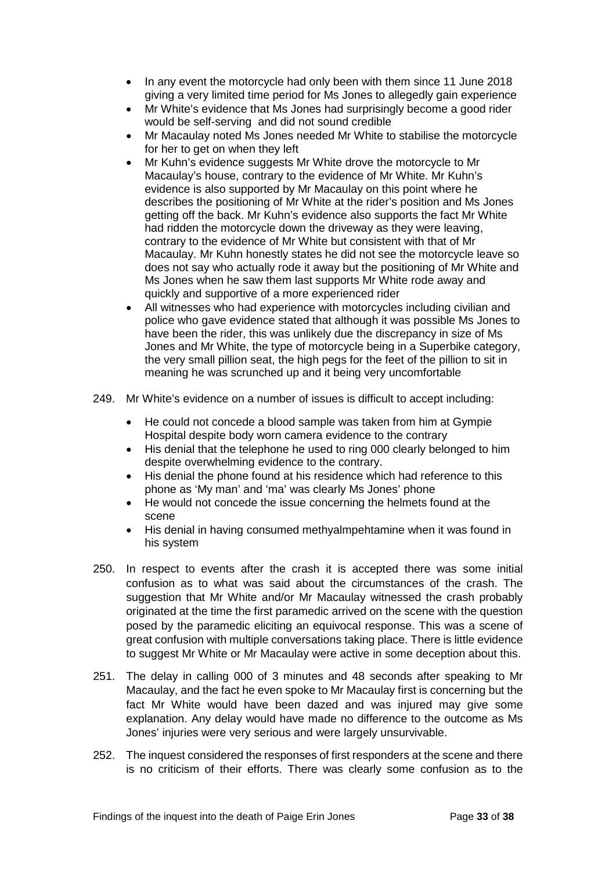- In any event the motorcycle had only been with them since 11 June 2018 giving a very limited time period for Ms Jones to allegedly gain experience
- Mr White's evidence that Ms Jones had surprisingly become a good rider would be self-serving and did not sound credible
- Mr Macaulay noted Ms Jones needed Mr White to stabilise the motorcycle for her to get on when they left
- Mr Kuhn's evidence suggests Mr White drove the motorcycle to Mr Macaulay's house, contrary to the evidence of Mr White. Mr Kuhn's evidence is also supported by Mr Macaulay on this point where he describes the positioning of Mr White at the rider's position and Ms Jones getting off the back. Mr Kuhn's evidence also supports the fact Mr White had ridden the motorcycle down the driveway as they were leaving, contrary to the evidence of Mr White but consistent with that of Mr Macaulay. Mr Kuhn honestly states he did not see the motorcycle leave so does not say who actually rode it away but the positioning of Mr White and Ms Jones when he saw them last supports Mr White rode away and quickly and supportive of a more experienced rider
- All witnesses who had experience with motorcycles including civilian and police who gave evidence stated that although it was possible Ms Jones to have been the rider, this was unlikely due the discrepancy in size of Ms Jones and Mr White, the type of motorcycle being in a Superbike category, the very small pillion seat, the high pegs for the feet of the pillion to sit in meaning he was scrunched up and it being very uncomfortable
- 249. Mr White's evidence on a number of issues is difficult to accept including:
	- He could not concede a blood sample was taken from him at Gympie Hospital despite body worn camera evidence to the contrary
	- His denial that the telephone he used to ring 000 clearly belonged to him despite overwhelming evidence to the contrary.
	- His denial the phone found at his residence which had reference to this phone as 'My man' and 'ma' was clearly Ms Jones' phone
	- He would not concede the issue concerning the helmets found at the scene
	- His denial in having consumed methyalmpehtamine when it was found in his system
- 250. In respect to events after the crash it is accepted there was some initial confusion as to what was said about the circumstances of the crash. The suggestion that Mr White and/or Mr Macaulay witnessed the crash probably originated at the time the first paramedic arrived on the scene with the question posed by the paramedic eliciting an equivocal response. This was a scene of great confusion with multiple conversations taking place. There is little evidence to suggest Mr White or Mr Macaulay were active in some deception about this.
- 251. The delay in calling 000 of 3 minutes and 48 seconds after speaking to Mr Macaulay, and the fact he even spoke to Mr Macaulay first is concerning but the fact Mr White would have been dazed and was injured may give some explanation. Any delay would have made no difference to the outcome as Ms Jones' injuries were very serious and were largely unsurvivable.
- 252. The inquest considered the responses of first responders at the scene and there is no criticism of their efforts. There was clearly some confusion as to the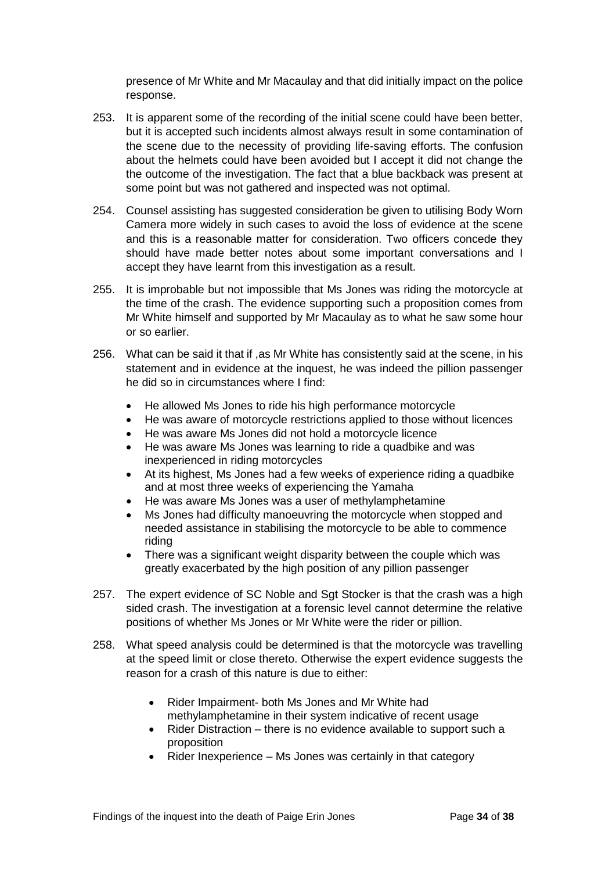presence of Mr White and Mr Macaulay and that did initially impact on the police response.

- 253. It is apparent some of the recording of the initial scene could have been better, but it is accepted such incidents almost always result in some contamination of the scene due to the necessity of providing life-saving efforts. The confusion about the helmets could have been avoided but I accept it did not change the the outcome of the investigation. The fact that a blue backback was present at some point but was not gathered and inspected was not optimal.
- 254. Counsel assisting has suggested consideration be given to utilising Body Worn Camera more widely in such cases to avoid the loss of evidence at the scene and this is a reasonable matter for consideration. Two officers concede they should have made better notes about some important conversations and I accept they have learnt from this investigation as a result.
- 255. It is improbable but not impossible that Ms Jones was riding the motorcycle at the time of the crash. The evidence supporting such a proposition comes from Mr White himself and supported by Mr Macaulay as to what he saw some hour or so earlier.
- 256. What can be said it that if ,as Mr White has consistently said at the scene, in his statement and in evidence at the inquest, he was indeed the pillion passenger he did so in circumstances where I find:
	- He allowed Ms Jones to ride his high performance motorcycle
	- He was aware of motorcycle restrictions applied to those without licences
	- He was aware Ms Jones did not hold a motorcycle licence
	- He was aware Ms Jones was learning to ride a quadbike and was inexperienced in riding motorcycles
	- At its highest, Ms Jones had a few weeks of experience riding a quadbike and at most three weeks of experiencing the Yamaha
	- He was aware Ms Jones was a user of methylamphetamine
	- Ms Jones had difficulty manoeuvring the motorcycle when stopped and needed assistance in stabilising the motorcycle to be able to commence riding
	- There was a significant weight disparity between the couple which was greatly exacerbated by the high position of any pillion passenger
- 257. The expert evidence of SC Noble and Sgt Stocker is that the crash was a high sided crash. The investigation at a forensic level cannot determine the relative positions of whether Ms Jones or Mr White were the rider or pillion.
- 258. What speed analysis could be determined is that the motorcycle was travelling at the speed limit or close thereto. Otherwise the expert evidence suggests the reason for a crash of this nature is due to either:
	- Rider Impairment- both Ms Jones and Mr White had methylamphetamine in their system indicative of recent usage
	- Rider Distraction there is no evidence available to support such a proposition
	- Rider Inexperience Ms Jones was certainly in that category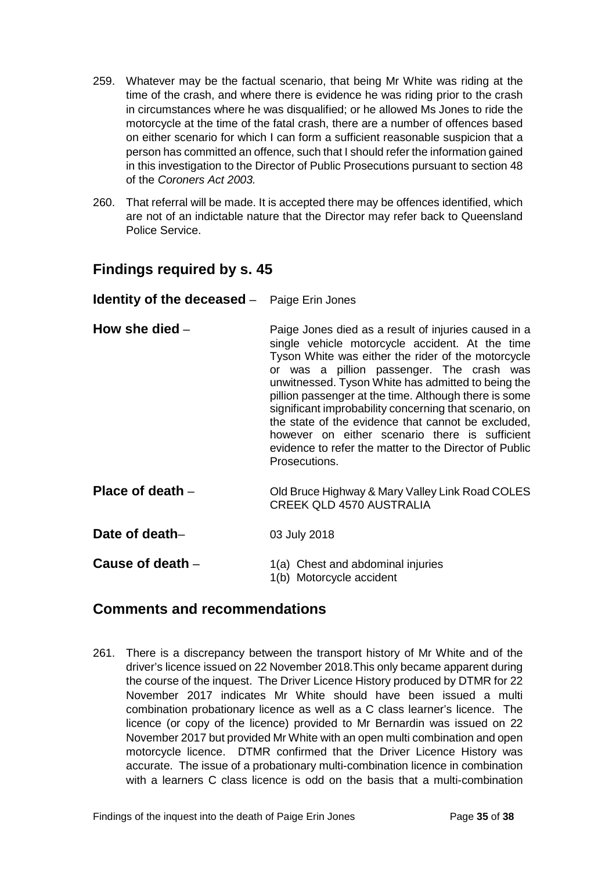- 259. Whatever may be the factual scenario, that being Mr White was riding at the time of the crash, and where there is evidence he was riding prior to the crash in circumstances where he was disqualified; or he allowed Ms Jones to ride the motorcycle at the time of the fatal crash, there are a number of offences based on either scenario for which I can form a sufficient reasonable suspicion that a person has committed an offence, such that I should refer the information gained in this investigation to the Director of Public Prosecutions pursuant to section 48 of the *Coroners Act 2003.*
- 260. That referral will be made. It is accepted there may be offences identified, which are not of an indictable nature that the Director may refer back to Queensland Police Service.

### <span id="page-36-0"></span>**Findings required by s. 45**

#### <span id="page-36-1"></span>**Identity of the deceased** – Paige Erin Jones

- <span id="page-36-2"></span>**How she died** – **Paige Jones died as a result of injuries caused in a** single vehicle motorcycle accident. At the time Tyson White was either the rider of the motorcycle or was a pillion passenger. The crash was unwitnessed. Tyson White has admitted to being the pillion passenger at the time. Although there is some significant improbability concerning that scenario, on the state of the evidence that cannot be excluded, however on either scenario there is sufficient evidence to refer the matter to the Director of Public Prosecutions.
- <span id="page-36-3"></span>**Place of death** – Old Bruce Highway & Mary Valley Link Road COLES CREEK QLD 4570 AUSTRALIA

<span id="page-36-4"></span>**Date of death–** 03 July 2018

<span id="page-36-5"></span>**Cause of death** – 1(a) Chest and abdominal injuries 1(b) Motorcycle accident

## <span id="page-36-6"></span>**Comments and recommendations**

261. There is a discrepancy between the transport history of Mr White and of the driver's licence issued on 22 November 2018.This only became apparent during the course of the inquest. The Driver Licence History produced by DTMR for 22 November 2017 indicates Mr White should have been issued a multi combination probationary licence as well as a C class learner's licence. The licence (or copy of the licence) provided to Mr Bernardin was issued on 22 November 2017 but provided Mr White with an open multi combination and open motorcycle licence. DTMR confirmed that the Driver Licence History was accurate. The issue of a probationary multi-combination licence in combination with a learners C class licence is odd on the basis that a multi-combination